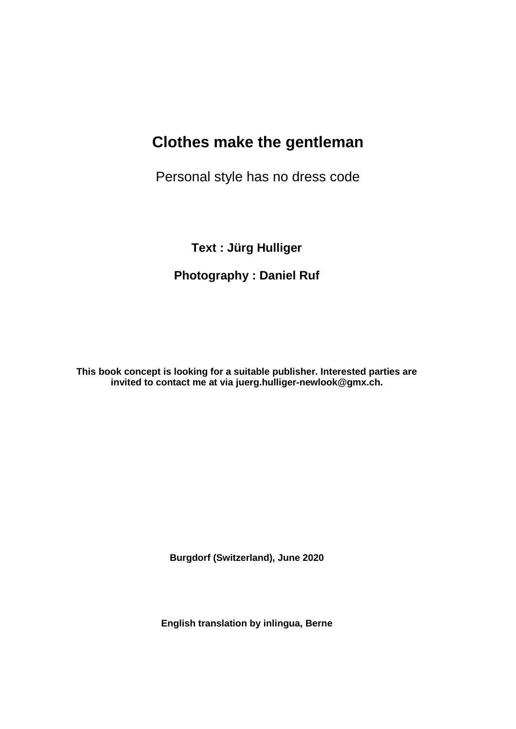# **Clothes make the gentleman**

Personal style has no dress code

**Text : Jürg Hulliger** 

# **Photography : Daniel Ruf**

**This book concept is looking for a suitable publisher. Interested parties are invited to contact me at via juerg.hulliger-newlook@gmx.ch.**

**Burgdorf (Switzerland), June 2020**

**English translation by inlingua, Berne**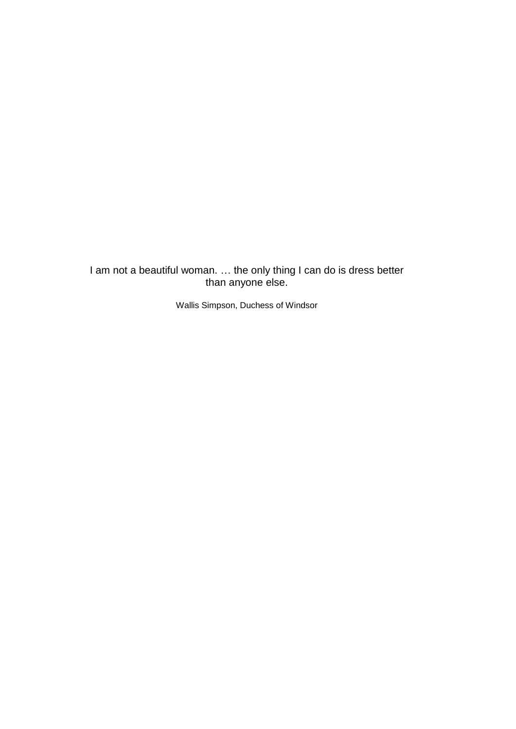I am not a beautiful woman. ... the only thing I can do is dress better than anyone else.

Wallis Simpson, Duchess of Windsor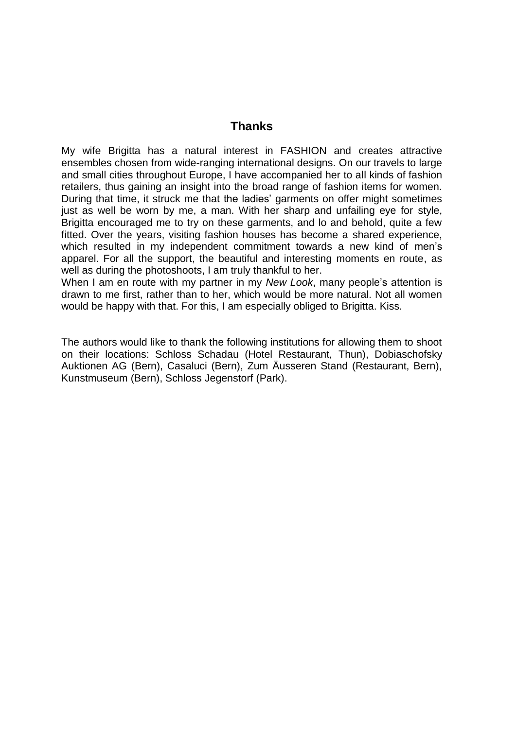#### **Thanks**

My wife Brigitta has a natural interest in FASHION and creates attractive ensembles chosen from wide-ranging international designs. On our travels to large and small cities throughout Europe, I have accompanied her to all kinds of fashion retailers, thus gaining an insight into the broad range of fashion items for women. During that time, it struck me that the ladies' garments on offer might sometimes just as well be worn by me, a man. With her sharp and unfailing eye for style, Brigitta encouraged me to try on these garments, and lo and behold, quite a few fitted. Over the years, visiting fashion houses has become a shared experience, which resulted in my independent commitment towards a new kind of men's apparel. For all the support, the beautiful and interesting moments en route, as well as during the photoshoots, I am truly thankful to her.

When I am en route with my partner in my *New Look*, many people's attention is drawn to me first, rather than to her, which would be more natural. Not all women would be happy with that. For this, I am especially obliged to Brigitta. Kiss.

The authors would like to thank the following institutions for allowing them to shoot on their locations: Schloss Schadau (Hotel Restaurant, Thun), Dobiaschofsky Auktionen AG (Bern), Casaluci (Bern), Zum Äusseren Stand (Restaurant, Bern), Kunstmuseum (Bern), Schloss Jegenstorf (Park).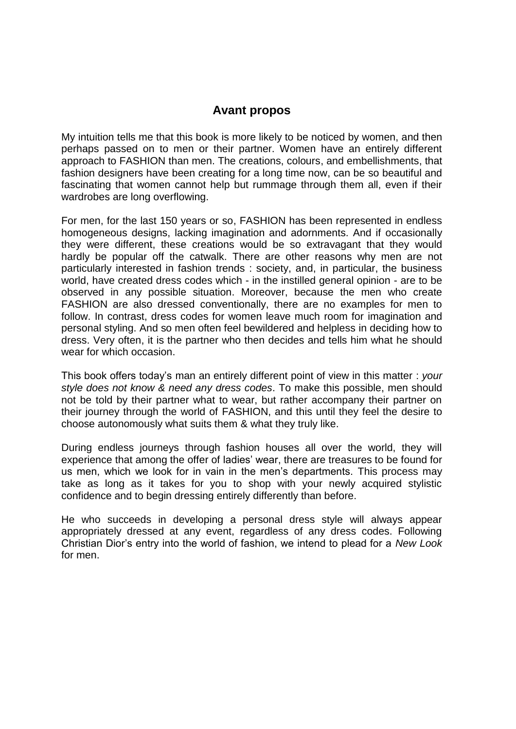#### **Avant propos**

My intuition tells me that this book is more likely to be noticed by women, and then perhaps passed on to men or their partner. Women have an entirely different approach to FASHION than men. The creations, colours, and embellishments, that fashion designers have been creating for a long time now, can be so beautiful and fascinating that women cannot help but rummage through them all, even if their wardrobes are long overflowing.

For men, for the last 150 years or so, FASHION has been represented in endless homogeneous designs, lacking imagination and adornments. And if occasionally they were different, these creations would be so extravagant that they would hardly be popular off the catwalk. There are other reasons why men are not particularly interested in fashion trends : society, and, in particular, the business world, have created dress codes which - in the instilled general opinion - are to be observed in any possible situation. Moreover, because the men who create FASHION are also dressed conventionally, there are no examples for men to follow. In contrast, dress codes for women leave much room for imagination and personal styling. And so men often feel bewildered and helpless in deciding how to dress. Very often, it is the partner who then decides and tells him what he should wear for which occasion.

This book offers today's man an entirely different point of view in this matter : *your style does not know & need any dress codes*. To make this possible, men should not be told by their partner what to wear, but rather accompany their partner on their journey through the world of FASHION, and this until they feel the desire to choose autonomously what suits them & what they truly like.

During endless journeys through fashion houses all over the world, they will experience that among the offer of ladies' wear, there are treasures to be found for us men, which we look for in vain in the men's departments. This process may take as long as it takes for you to shop with your newly acquired stylistic confidence and to begin dressing entirely differently than before.

He who succeeds in developing a personal dress style will always appear appropriately dressed at any event, regardless of any dress codes. Following Christian Dior's entry into the world of fashion, we intend to plead for a *New Look* for men.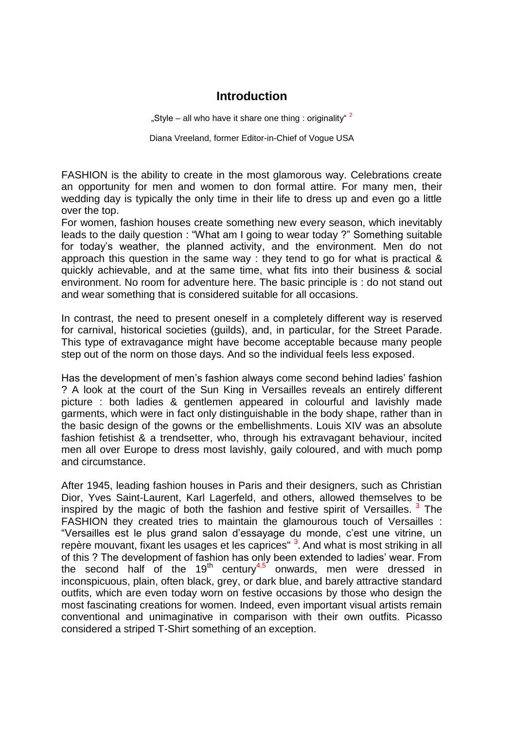#### **Introduction**

"Style – all who have it share one thing : originality"  $^2$ 

Diana Vreeland, former Editor-in-Chief of Vogue USA

FASHION is the ability to create in the most glamorous way. Celebrations create an opportunity for men and women to don formal attire. For many men, their wedding day is typically the only time in their life to dress up and even go a little over the top.

For women, fashion houses create something new every season, which inevitably leads to the daily question : "What am I going to wear today ?" Something suitable for today's weather, the planned activity, and the environment. Men do not approach this question in the same way : they tend to go for what is practical & quickly achievable, and at the same time, what fits into their business & social environment. No room for adventure here. The basic principle is : do not stand out and wear something that is considered suitable for all occasions.

In contrast, the need to present oneself in a completely different way is reserved for carnival, historical societies (guilds), and, in particular, for the Street Parade. This type of extravagance might have become acceptable because many people step out of the norm on those days. And so the individual feels less exposed.

Has the development of men's fashion always come second behind ladies' fashion ? A look at the court of the Sun King in Versailles reveals an entirely different picture : both ladies & gentlemen appeared in colourful and lavishly made garments, which were in fact only distinguishable in the body shape, rather than in the basic design of the gowns or the embellishments. Louis XIV was an absolute fashion fetishist & a trendsetter, who, through his extravagant behaviour, incited men all over Europe to dress most lavishly, gaily coloured, and with much pomp and circumstance.

After 1945, leading fashion houses in Paris and their designers, such as Christian Dior, Yves Saint-Laurent, Karl Lagerfeld, and others, allowed themselves to be inspired by the magic of both the fashion and festive spirit of Versailles.  $3$  The FASHION they created tries to maintain the glamourous touch of Versailles : "Versailles est le plus grand salon d'essayage du monde, c'est une vitrine, un repère mouvant, fixant les usages et les caprices" <sup>3</sup>. And what is most striking in all of this ? The development of fashion has only been extended to ladies' wear. From the second half of the 19<sup>th</sup> century<sup>4,5</sup> onwards, men were dressed in inconspicuous, plain, often black, grey, or dark blue, and barely attractive standard outfits, which are even today worn on festive occasions by those who design the most fascinating creations for women. Indeed, even important visual artists remain conventional and unimaginative in comparison with their own outfits. Picasso considered a striped T-Shirt something of an exception.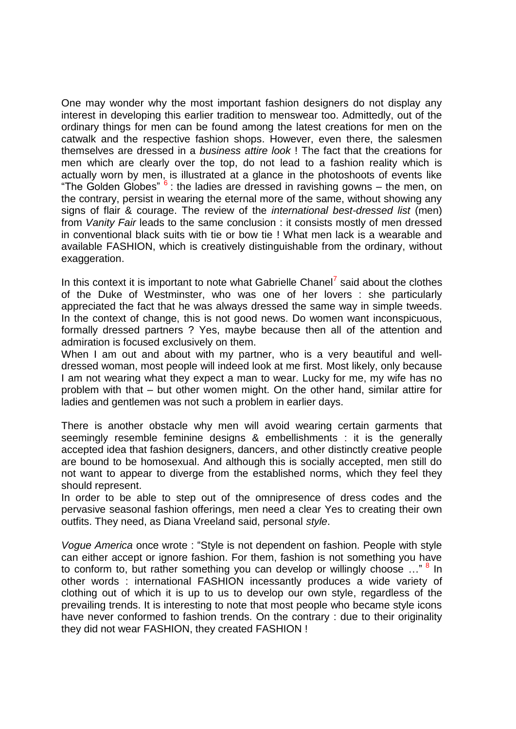One may wonder why the most important fashion designers do not display any interest in developing this earlier tradition to menswear too. Admittedly, out of the ordinary things for men can be found among the latest creations for men on the catwalk and the respective fashion shops. However, even there, the salesmen themselves are dressed in a *business attire look* ! The fact that the creations for men which are clearly over the top, do not lead to a fashion reality which is actually worn by men, is illustrated at a glance in the photoshoots of events like "The Golden Globes"  $6:$  the ladies are dressed in ravishing gowns – the men, on the contrary, persist in wearing the eternal more of the same, without showing any signs of flair & courage. The review of the *international best-dressed list* (men) from *Vanity Fair* leads to the same conclusion : it consists mostly of men dressed in conventional black suits with tie or bow tie ! What men lack is a wearable and available FASHION, which is creatively distinguishable from the ordinary, without exaggeration.

In this context it is important to note what Gabrielle Chanel $^7$  said about the clothes of the Duke of Westminster, who was one of her lovers : she particularly appreciated the fact that he was always dressed the same way in simple tweeds. In the context of change, this is not good news. Do women want inconspicuous, formally dressed partners ? Yes, maybe because then all of the attention and admiration is focused exclusively on them.

When I am out and about with my partner, who is a very beautiful and welldressed woman, most people will indeed look at me first. Most likely, only because I am not wearing what they expect a man to wear. Lucky for me, my wife has no problem with that – but other women might. On the other hand, similar attire for ladies and gentlemen was not such a problem in earlier days.

There is another obstacle why men will avoid wearing certain garments that seemingly resemble feminine designs & embellishments : it is the generally accepted idea that fashion designers, dancers, and other distinctly creative people are bound to be homosexual. And although this is socially accepted, men still do not want to appear to diverge from the established norms, which they feel they should represent.

In order to be able to step out of the omnipresence of dress codes and the pervasive seasonal fashion offerings, men need a clear Yes to creating their own outfits. They need, as Diana Vreeland said, personal *style*.

*Vogue America* once wrote : "Style is not dependent on fashion. People with style can either accept or ignore fashion. For them, fashion is not something you have to conform to, but rather something you can develop or willingly choose ..."<sup>8</sup> In other words : international FASHION incessantly produces a wide variety of clothing out of which it is up to us to develop our own style, regardless of the prevailing trends. It is interesting to note that most people who became style icons have never conformed to fashion trends. On the contrary : due to their originality they did not wear FASHION, they created FASHION !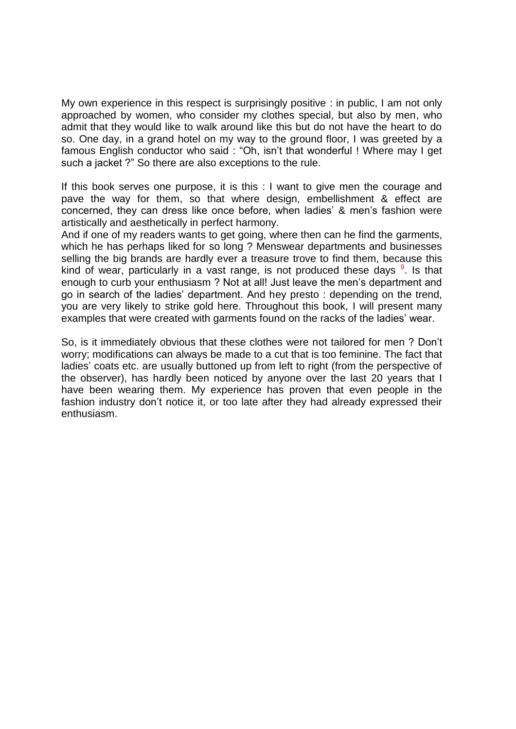My own experience in this respect is surprisingly positive : in public, I am not only approached by women, who consider my clothes special, but also by men, who admit that they would like to walk around like this but do not have the heart to do so. One day, in a grand hotel on my way to the ground floor, I was greeted by a famous English conductor who said : "Oh, isn't that wonderful ! Where may I get such a jacket ?" So there are also exceptions to the rule.

If this book serves one purpose, it is this : I want to give men the courage and pave the way for them, so that where design, embellishment & effect are concerned, they can dress like once before, when ladies' & men's fashion were artistically and aesthetically in perfect harmony.

And if one of my readers wants to get going, where then can he find the garments, which he has perhaps liked for so long ? Menswear departments and businesses selling the big brands are hardly ever a treasure trove to find them, because this kind of wear, particularly in a vast range, is not produced these days  $9$ . Is that enough to curb your enthusiasm ? Not at all! Just leave the men's department and go in search of the ladies' department. And hey presto : depending on the trend, you are very likely to strike gold here. Throughout this book, I will present many examples that were created with garments found on the racks of the ladies' wear.

So, is it immediately obvious that these clothes were not tailored for men ? Don't worry; modifications can always be made to a cut that is too feminine. The fact that ladies' coats etc. are usually buttoned up from left to right (from the perspective of the observer), has hardly been noticed by anyone over the last 20 years that I have been wearing them. My experience has proven that even people in the fashion industry don't notice it, or too late after they had already expressed their enthusiasm.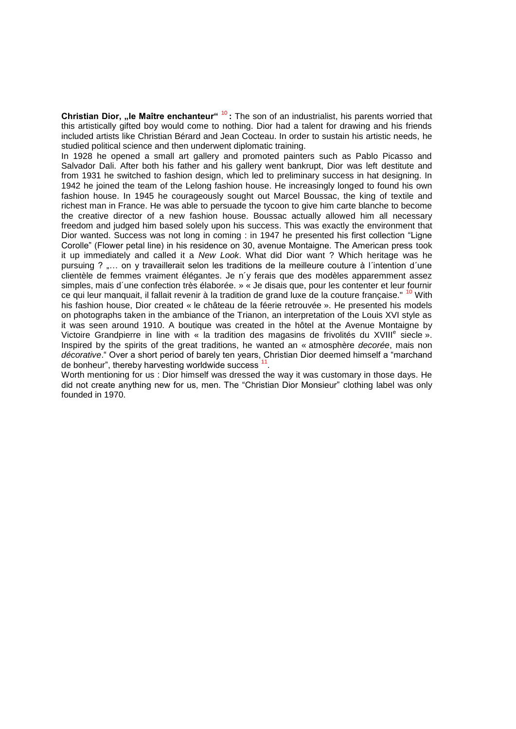**Christian Dior, "le Maître enchanteur"** <sup>10</sup> **:** The son of an industrialist, his parents worried that this artistically gifted boy would come to nothing. Dior had a talent for drawing and his friends included artists like Christian Bérard and Jean Cocteau. In order to sustain his artistic needs, he studied political science and then underwent diplomatic training.

In 1928 he opened a small art gallery and promoted painters such as Pablo Picasso and Salvador Dali. After both his father and his gallery went bankrupt, Dior was left destitute and from 1931 he switched to fashion design, which led to preliminary success in hat designing. In 1942 he joined the team of the Lelong fashion house. He increasingly longed to found his own fashion house. In 1945 he courageously sought out Marcel Boussac, the king of textile and richest man in France. He was able to persuade the tycoon to give him carte blanche to become the creative director of a new fashion house. Boussac actually allowed him all necessary freedom and judged him based solely upon his success. This was exactly the environment that Dior wanted. Success was not long in coming : in 1947 he presented his first collection "Ligne Corolle" (Flower petal line) in his residence on 30, avenue Montaigne. The American press took it up immediately and called it a *New Look*. What did Dior want ? Which heritage was he pursuing ? "... on y travaillerait selon les traditions de la meilleure couture à l'intention d'une clientèle de femmes vraiment élégantes. Je n´y ferais que des modèles apparemment assez simples, mais d´une confection très élaborée. » « Je disais que, pour les contenter et leur fournir ce qui leur manquait, il fallait revenir à la tradition de grand luxe de la couture française." <sup>10</sup> With his fashion house, Dior created « le château de la féerie retrouvée ». He presented his models on photographs taken in the ambiance of the Trianon, an interpretation of the Louis XVI style as it was seen around 1910. A boutique was created in the hôtel at the Avenue Montaigne by Victoire Grandpierre in line with « la tradition des magasins de frivolités du XVIII<sup>e</sup> siecle ». Inspired by the spirits of the great traditions, he wanted an « atmosphère *decorée*, mais non *décorative*." Over a short period of barely ten years, Christian Dior deemed himself a "marchand de bonheur", thereby harvesting worldwide success<sup>11</sup>.

Worth mentioning for us : Dior himself was dressed the way it was customary in those days. He did not create anything new for us, men. The "Christian Dior Monsieur" clothing label was only founded in 1970.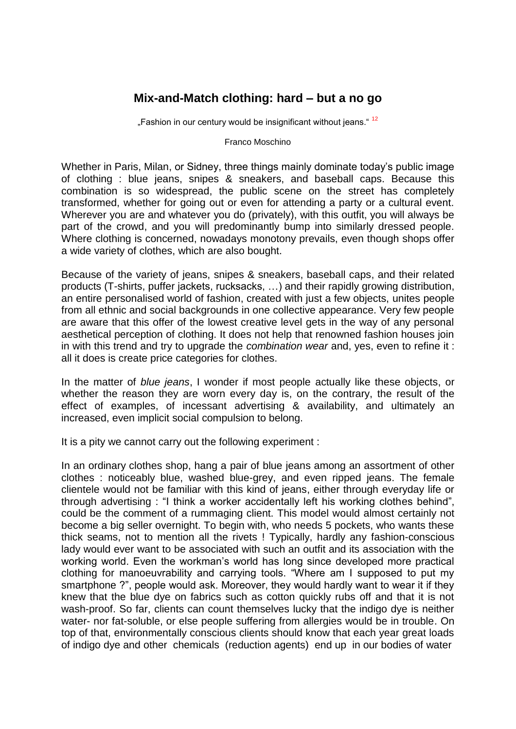### **Mix-and-Match clothing: hard – but a no go**

"Fashion in our century would be insignificant without jeans."<sup>12</sup>

Franco Moschino

Whether in Paris, Milan, or Sidney, three things mainly dominate today's public image of clothing : blue jeans, snipes & sneakers, and baseball caps. Because this combination is so widespread, the public scene on the street has completely transformed, whether for going out or even for attending a party or a cultural event. Wherever you are and whatever you do (privately), with this outfit, you will always be part of the crowd, and you will predominantly bump into similarly dressed people. Where clothing is concerned, nowadays monotony prevails, even though shops offer a wide variety of clothes, which are also bought.

Because of the variety of jeans, snipes & sneakers, baseball caps, and their related products (T-shirts, puffer jackets, rucksacks, …) and their rapidly growing distribution, an entire personalised world of fashion, created with just a few objects, unites people from all ethnic and social backgrounds in one collective appearance. Very few people are aware that this offer of the lowest creative level gets in the way of any personal aesthetical perception of clothing. It does not help that renowned fashion houses join in with this trend and try to upgrade the *combination wear* and, yes, even to refine it : all it does is create price categories for clothes.

In the matter of *blue jeans*, I wonder if most people actually like these objects, or whether the reason they are worn every day is, on the contrary, the result of the effect of examples, of incessant advertising & availability, and ultimately an increased, even implicit social compulsion to belong.

It is a pity we cannot carry out the following experiment :

In an ordinary clothes shop, hang a pair of blue jeans among an assortment of other clothes : noticeably blue, washed blue-grey, and even ripped jeans. The female clientele would not be familiar with this kind of jeans, either through everyday life or through advertising : "I think a worker accidentally left his working clothes behind", could be the comment of a rummaging client. This model would almost certainly not become a big seller overnight. To begin with, who needs 5 pockets, who wants these thick seams, not to mention all the rivets ! Typically, hardly any fashion-conscious lady would ever want to be associated with such an outfit and its association with the working world. Even the workman's world has long since developed more practical clothing for manoeuvrability and carrying tools. "Where am I supposed to put my smartphone ?", people would ask. Moreover, they would hardly want to wear it if they knew that the blue dye on fabrics such as cotton quickly rubs off and that it is not wash-proof. So far, clients can count themselves lucky that the indigo dye is neither water- nor fat-soluble, or else people suffering from allergies would be in trouble. On top of that, environmentally conscious clients should know that each year great loads of indigo dye and other chemicals (reduction agents) end up in our bodies of water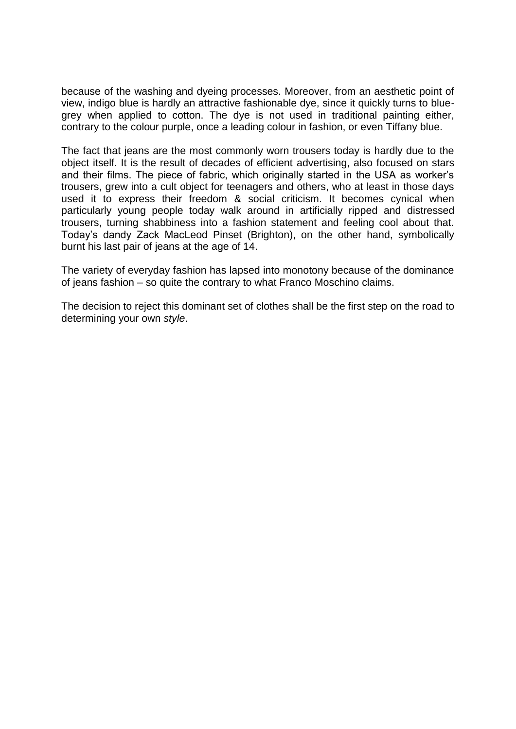because of the washing and dyeing processes. Moreover, from an aesthetic point of view, indigo blue is hardly an attractive fashionable dye, since it quickly turns to bluegrey when applied to cotton. The dye is not used in traditional painting either, contrary to the colour purple, once a leading colour in fashion, or even Tiffany blue.

The fact that jeans are the most commonly worn trousers today is hardly due to the object itself. It is the result of decades of efficient advertising, also focused on stars and their films. The piece of fabric, which originally started in the USA as worker's trousers, grew into a cult object for teenagers and others, who at least in those days used it to express their freedom & social criticism. It becomes cynical when particularly young people today walk around in artificially ripped and distressed trousers, turning shabbiness into a fashion statement and feeling cool about that. Today's dandy Zack MacLeod Pinset (Brighton), on the other hand, symbolically burnt his last pair of jeans at the age of 14.

The variety of everyday fashion has lapsed into monotony because of the dominance of jeans fashion – so quite the contrary to what Franco Moschino claims.

The decision to reject this dominant set of clothes shall be the first step on the road to determining your own *style*.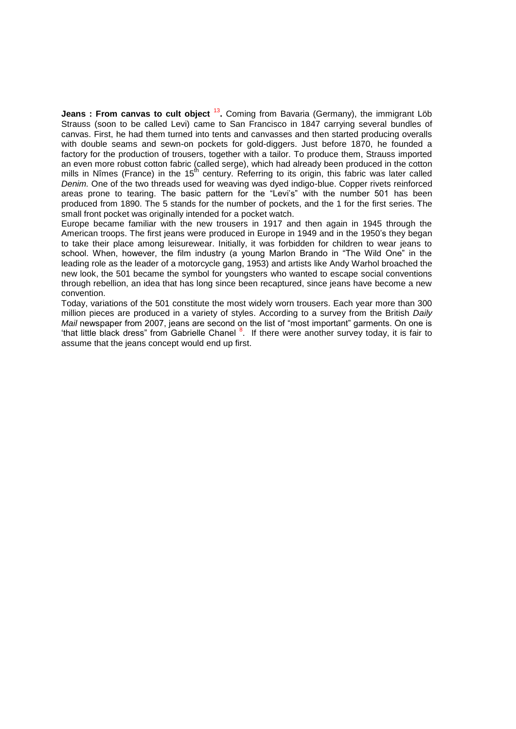**Jeans : From canvas to cult object** <sup>13</sup>. Coming from Bavaria (Germany), the immigrant Löb Strauss (soon to be called Levi) came to San Francisco in 1847 carrying several bundles of canvas. First, he had them turned into tents and canvasses and then started producing overalls with double seams and sewn-on pockets for gold-diggers. Just before 1870, he founded a factory for the production of trousers, together with a tailor. To produce them, Strauss imported an even more robust cotton fabric (called serge), which had already been produced in the cotton mills in Nîmes (France) in the  $15<sup>th</sup>$  century. Referring to its origin, this fabric was later called *Denim.* One of the two threads used for weaving was dyed indigo-blue. Copper rivets reinforced areas prone to tearing. The basic pattern for the "Levi's" with the number 501 has been produced from 1890. The 5 stands for the number of pockets, and the 1 for the first series. The small front pocket was originally intended for a pocket watch.

Europe became familiar with the new trousers in 1917 and then again in 1945 through the American troops. The first jeans were produced in Europe in 1949 and in the 1950's they began to take their place among leisurewear. Initially, it was forbidden for children to wear jeans to school. When, however, the film industry (a young Marlon Brando in "The Wild One" in the leading role as the leader of a motorcycle gang, 1953) and artists like Andy Warhol broached the new look, the 501 became the symbol for youngsters who wanted to escape social conventions through rebellion, an idea that has long since been recaptured, since jeans have become a new convention.

Today, variations of the 501 constitute the most widely worn trousers. Each year more than 300 million pieces are produced in a variety of styles. According to a survey from the British *Daily Mail* newspaper from 2007, jeans are second on the list of "most important" garments. On one is that little black dress" from Gabrielle Chanel <sup>8</sup>. If there were another survey today, it is fair to assume that the jeans concept would end up first.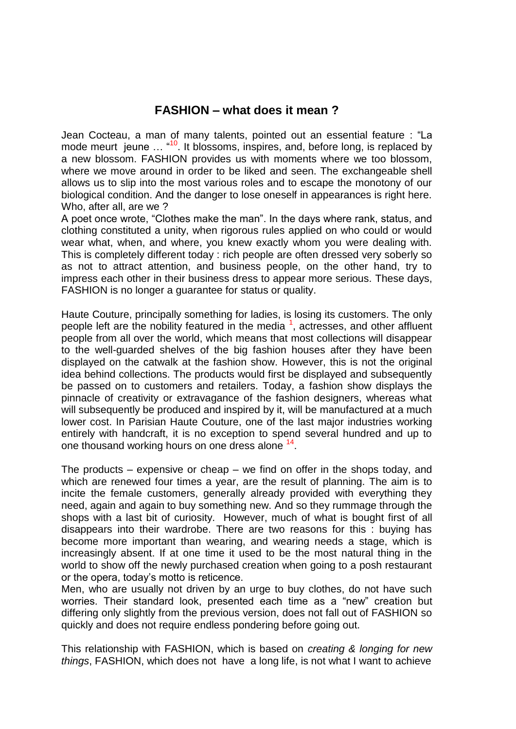#### **FASHION – what does it mean ?**

Jean Cocteau, a man of many talents, pointed out an essential feature : "La mode meurt jeune  $\ldots$  "<sup>10</sup>. It blossoms, inspires, and, before long, is replaced by a new blossom. FASHION provides us with moments where we too blossom, where we move around in order to be liked and seen. The exchangeable shell allows us to slip into the most various roles and to escape the monotony of our biological condition. And the danger to lose oneself in appearances is right here. Who, after all, are we ?

A poet once wrote, "Clothes make the man". In the days where rank, status, and clothing constituted a unity, when rigorous rules applied on who could or would wear what, when, and where, you knew exactly whom you were dealing with. This is completely different today : rich people are often dressed very soberly so as not to attract attention, and business people, on the other hand, try to impress each other in their business dress to appear more serious. These days, FASHION is no longer a guarantee for status or quality.

Haute Couture, principally something for ladies, is losing its customers. The only people left are the nobility featured in the media <sup>1</sup>, actresses, and other affluent people from all over the world, which means that most collections will disappear to the well-guarded shelves of the big fashion houses after they have been displayed on the catwalk at the fashion show. However, this is not the original idea behind collections. The products would first be displayed and subsequently be passed on to customers and retailers. Today, a fashion show displays the pinnacle of creativity or extravagance of the fashion designers, whereas what will subsequently be produced and inspired by it, will be manufactured at a much lower cost. In Parisian Haute Couture, one of the last major industries working entirely with handcraft, it is no exception to spend several hundred and up to one thousand working hours on one dress alone <sup>14</sup>.

The products – expensive or cheap – we find on offer in the shops today, and which are renewed four times a year, are the result of planning. The aim is to incite the female customers, generally already provided with everything they need, again and again to buy something new. And so they rummage through the shops with a last bit of curiosity. However, much of what is bought first of all disappears into their wardrobe. There are two reasons for this : buying has become more important than wearing, and wearing needs a stage, which is increasingly absent. If at one time it used to be the most natural thing in the world to show off the newly purchased creation when going to a posh restaurant or the opera, today's motto is reticence.

Men, who are usually not driven by an urge to buy clothes, do not have such worries. Their standard look, presented each time as a "new" creation but differing only slightly from the previous version, does not fall out of FASHION so quickly and does not require endless pondering before going out.

This relationship with FASHION, which is based on *creating & longing for new things*, FASHION, which does not have a long life, is not what I want to achieve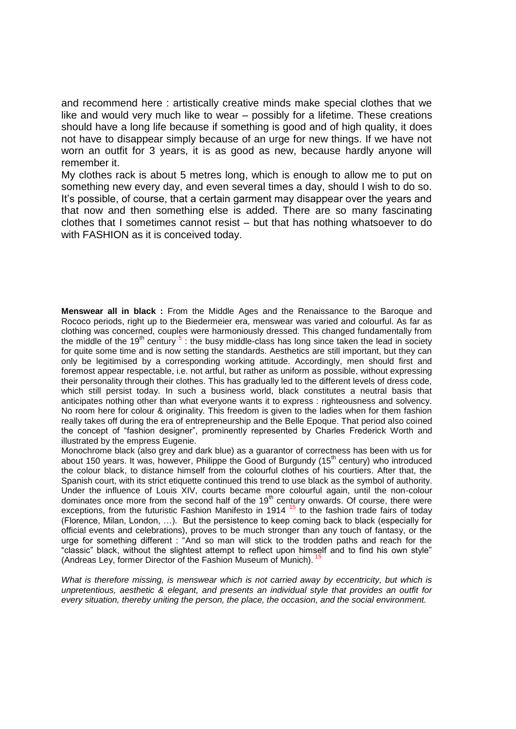and recommend here : artistically creative minds make special clothes that we like and would very much like to wear – possibly for a lifetime. These creations should have a long life because if something is good and of high quality, it does not have to disappear simply because of an urge for new things. If we have not worn an outfit for 3 years, it is as good as new, because hardly anyone will remember it.

My clothes rack is about 5 metres long, which is enough to allow me to put on something new every day, and even several times a day, should I wish to do so. It's possible, of course, that a certain garment may disappear over the years and that now and then something else is added. There are so many fascinating clothes that I sometimes cannot resist – but that has nothing whatsoever to do with FASHION as it is conceived today.

**Menswear all in black :** From the Middle Ages and the Renaissance to the Baroque and Rococo periods, right up to the Biedermeier era, menswear was varied and colourful. As far as clothing was concerned, couples were harmoniously dressed. This changed fundamentally from the middle of the 19<sup>th</sup> century  $5$ : the busy middle-class has long since taken the lead in society for quite some time and is now setting the standards. Aesthetics are still important, but they can only be legitimised by a corresponding working attitude. Accordingly, men should first and foremost appear respectable, i.e. not artful, but rather as uniform as possible, without expressing their personality through their clothes. This has gradually led to the different levels of dress code, which still persist today. In such a business world, black constitutes a neutral basis that anticipates nothing other than what everyone wants it to express : righteousness and solvency. No room here for colour & originality. This freedom is given to the ladies when for them fashion really takes off during the era of entrepreneurship and the Belle Epoque. That period also coined the concept of "fashion designer", prominently represented by Charles Frederick Worth and illustrated by the empress Eugenie.

Monochrome black (also grey and dark blue) as a guarantor of correctness has been with us for about 150 years. It was, however, Philippe the Good of Burgundy ( $15<sup>th</sup>$  century) who introduced the colour black, to distance himself from the colourful clothes of his courtiers. After that, the Spanish court, with its strict etiquette continued this trend to use black as the symbol of authority. Under the influence of Louis XIV, courts became more colourful again, until the non-colour dominates once more from the second half of the 19th century onwards. Of course, there were exceptions, from the futuristic Fashion Manifesto in 1914<sup>15</sup> to the fashion trade fairs of today (Florence, Milan, London, …). But the persistence to keep coming back to black (especially for official events and celebrations), proves to be much stronger than any touch of fantasy, or the urge for something different : "And so man will stick to the trodden paths and reach for the "classic" black, without the slightest attempt to reflect upon himself and to find his own style" (Andreas Ley, former Director of the Fashion Museum of Munich).<sup>1</sup>

*What is therefore missing, is menswear which is not carried away by eccentricity, but which is unpretentious, aesthetic & elegant, and presents an individual style that provides an outfit for every situation, thereby uniting the person, the place, the occasion, and the social environment.*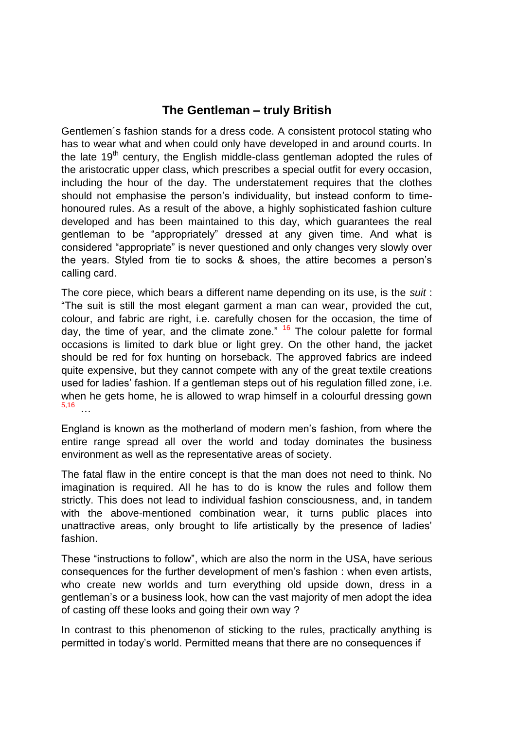### **The Gentleman – truly British**

Gentlemen´s fashion stands for a dress code. A consistent protocol stating who has to wear what and when could only have developed in and around courts. In the late  $19<sup>th</sup>$  century, the English middle-class gentleman adopted the rules of the aristocratic upper class, which prescribes a special outfit for every occasion, including the hour of the day. The understatement requires that the clothes should not emphasise the person's individuality, but instead conform to timehonoured rules. As a result of the above, a highly sophisticated fashion culture developed and has been maintained to this day, which guarantees the real gentleman to be "appropriately" dressed at any given time. And what is considered "appropriate" is never questioned and only changes very slowly over the years. Styled from tie to socks & shoes, the attire becomes a person's calling card.

The core piece, which bears a different name depending on its use, is the *suit* : "The suit is still the most elegant garment a man can wear, provided the cut, colour, and fabric are right, i.e. carefully chosen for the occasion, the time of day, the time of year, and the climate zone."  $16$  The colour palette for formal occasions is limited to dark blue or light grey. On the other hand, the jacket should be red for fox hunting on horseback. The approved fabrics are indeed quite expensive, but they cannot compete with any of the great textile creations used for ladies' fashion. If a gentleman steps out of his regulation filled zone, i.e. when he gets home, he is allowed to wrap himself in a colourful dressing gown 5,16 …

England is known as the motherland of modern men's fashion, from where the entire range spread all over the world and today dominates the business environment as well as the representative areas of society.

The fatal flaw in the entire concept is that the man does not need to think. No imagination is required. All he has to do is know the rules and follow them strictly. This does not lead to individual fashion consciousness, and, in tandem with the above-mentioned combination wear, it turns public places into unattractive areas, only brought to life artistically by the presence of ladies' fashion.

These "instructions to follow", which are also the norm in the USA, have serious consequences for the further development of men's fashion : when even artists, who create new worlds and turn everything old upside down, dress in a gentleman's or a business look, how can the vast majority of men adopt the idea of casting off these looks and going their own way ?

In contrast to this phenomenon of sticking to the rules, practically anything is permitted in today's world. Permitted means that there are no consequences if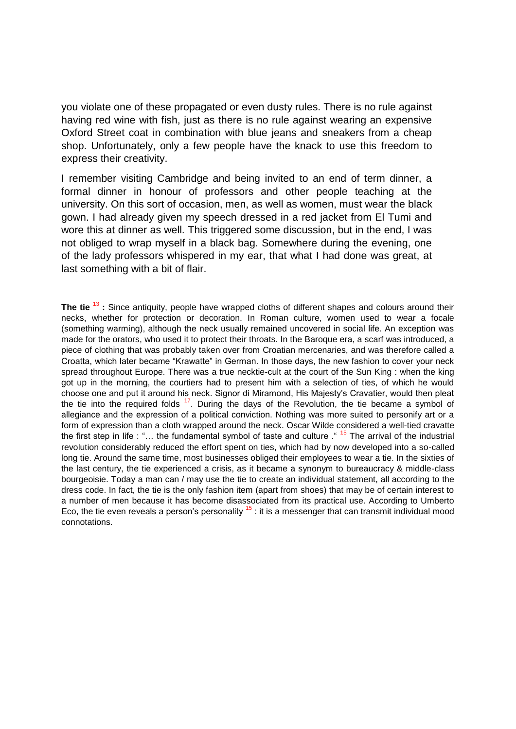you violate one of these propagated or even dusty rules. There is no rule against having red wine with fish, just as there is no rule against wearing an expensive Oxford Street coat in combination with blue jeans and sneakers from a cheap shop. Unfortunately, only a few people have the knack to use this freedom to express their creativity.

I remember visiting Cambridge and being invited to an end of term dinner, a formal dinner in honour of professors and other people teaching at the university. On this sort of occasion, men, as well as women, must wear the black gown. I had already given my speech dressed in a red jacket from El Tumi and wore this at dinner as well. This triggered some discussion, but in the end, I was not obliged to wrap myself in a black bag. Somewhere during the evening, one of the lady professors whispered in my ear, that what I had done was great, at last something with a bit of flair.

**The tie** <sup>13</sup> : Since antiquity, people have wrapped cloths of different shapes and colours around their necks, whether for protection or decoration. In Roman culture, women used to wear a focale (something warming), although the neck usually remained uncovered in social life. An exception was made for the orators, who used it to protect their throats. In the Baroque era, a scarf was introduced, a piece of clothing that was probably taken over from Croatian mercenaries, and was therefore called a Croatta, which later became "Krawatte" in German. In those days, the new fashion to cover your neck spread throughout Europe. There was a true necktie-cult at the court of the Sun King : when the king got up in the morning, the courtiers had to present him with a selection of ties, of which he would choose one and put it around his neck. Signor di Miramond, His Majesty's Cravatier, would then pleat the tie into the required folds  $17$ . During the days of the Revolution, the tie became a symbol of allegiance and the expression of a political conviction. Nothing was more suited to personify art or a form of expression than a cloth wrapped around the neck. Oscar Wilde considered a well-tied cravatte the first step in life : "… the fundamental symbol of taste and culture ." <sup>15</sup> The arrival of the industrial revolution considerably reduced the effort spent on ties, which had by now developed into a so-called long tie. Around the same time, most businesses obliged their employees to wear a tie. In the sixties of the last century, the tie experienced a crisis, as it became a synonym to bureaucracy & middle-class bourgeoisie. Today a man can / may use the tie to create an individual statement, all according to the dress code. In fact, the tie is the only fashion item (apart from shoes) that may be of certain interest to a number of men because it has become disassociated from its practical use. According to Umberto Eco, the tie even reveals a person's personality  $15$  : it is a messenger that can transmit individual mood connotations.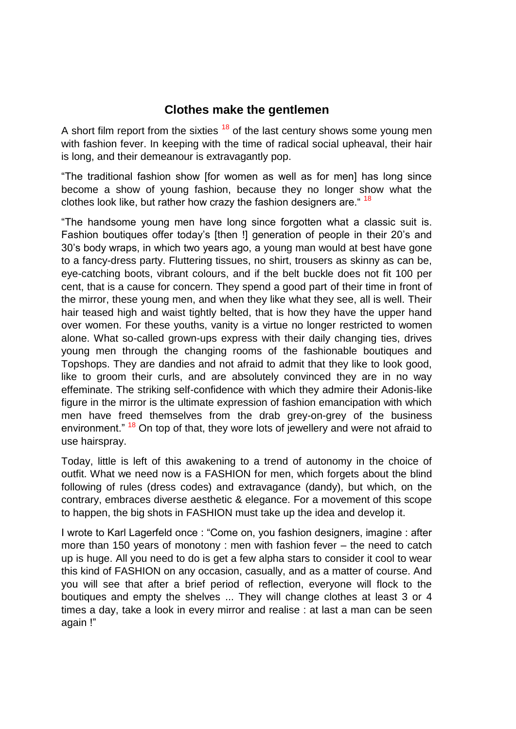### **Clothes make the gentlemen**

A short film report from the sixties  $18$  of the last century shows some young men with fashion fever. In keeping with the time of radical social upheaval, their hair is long, and their demeanour is extravagantly pop.

"The traditional fashion show [for women as well as for men] has long since become a show of young fashion, because they no longer show what the clothes look like, but rather how crazy the fashion designers are. <sup>18</sup>

"The handsome young men have long since forgotten what a classic suit is. Fashion boutiques offer today's [then !] generation of people in their 20's and 30's body wraps, in which two years ago, a young man would at best have gone to a fancy-dress party. Fluttering tissues, no shirt, trousers as skinny as can be, eye-catching boots, vibrant colours, and if the belt buckle does not fit 100 per cent, that is a cause for concern. They spend a good part of their time in front of the mirror, these young men, and when they like what they see, all is well. Their hair teased high and waist tightly belted, that is how they have the upper hand over women. For these youths, vanity is a virtue no longer restricted to women alone. What so-called grown-ups express with their daily changing ties, drives young men through the changing rooms of the fashionable boutiques and Topshops. They are dandies and not afraid to admit that they like to look good, like to groom their curls, and are absolutely convinced they are in no way effeminate. The striking self-confidence with which they admire their Adonis-like figure in the mirror is the ultimate expression of fashion emancipation with which men have freed themselves from the drab grey-on-grey of the business environment." <sup>18</sup> On top of that, they wore lots of jewellery and were not afraid to use hairspray.

Today, little is left of this awakening to a trend of autonomy in the choice of outfit. What we need now is a FASHION for men, which forgets about the blind following of rules (dress codes) and extravagance (dandy), but which, on the contrary, embraces diverse aesthetic & elegance. For a movement of this scope to happen, the big shots in FASHION must take up the idea and develop it.

I wrote to Karl Lagerfeld once : "Come on, you fashion designers, imagine : after more than 150 years of monotony : men with fashion fever – the need to catch up is huge. All you need to do is get a few alpha stars to consider it cool to wear this kind of FASHION on any occasion, casually, and as a matter of course. And you will see that after a brief period of reflection, everyone will flock to the boutiques and empty the shelves ... They will change clothes at least 3 or 4 times a day, take a look in every mirror and realise : at last a man can be seen again !"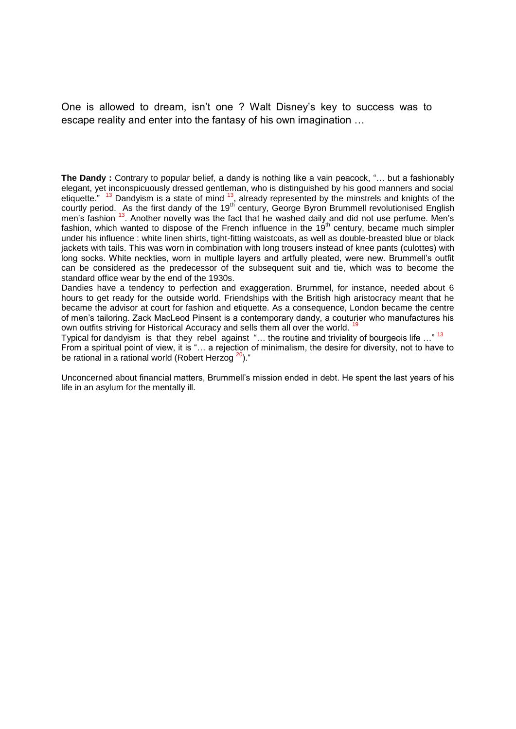One is allowed to dream, isn't one ? Walt Disney's key to success was to escape reality and enter into the fantasy of his own imagination …

**The Dandy :** Contrary to popular belief, a dandy is nothing like a vain peacock, "… but a fashionably elegant, yet inconspicuously dressed gentleman, who is distinguished by his good manners and social etiquette."  $13$  Dandyism is a state of mind  $13$ , already represented by the minstrels and knights of the courtly period. As the first dandy of the 19<sup>th</sup> century, George Byron Brummell revolutionised English men's fashion <sup>13</sup>. Another novelty was the fact that he washed daily and did not use perfume. Men's fashion, which wanted to dispose of the French influence in the 19<sup>th</sup> century, became much simpler under his influence : white linen shirts, tight-fitting waistcoats, as well as double-breasted blue or black jackets with tails. This was worn in combination with long trousers instead of knee pants (culottes) with long socks. White neckties, worn in multiple layers and artfully pleated, were new. Brummell's outfit can be considered as the predecessor of the subsequent suit and tie, which was to become the standard office wear by the end of the 1930s.

Dandies have a tendency to perfection and exaggeration. Brummel, for instance, needed about 6 hours to get ready for the outside world. Friendships with the British high aristocracy meant that he became the advisor at court for fashion and etiquette. As a consequence, London became the centre of men's tailoring. Zack MacLeod Pinsent is a contemporary dandy, a couturier who manufactures his own outfits striving for Historical Accuracy and sells them all over the world.<sup>1</sup>

Typical for dandyism is that they rebel against "... the routine and triviality of bourgeois life ..."<sup>13</sup> From a spiritual point of view, it is "… a rejection of minimalism, the desire for diversity, not to have to be rational in a rational world (Robert Herzog  $20$ )."

Unconcerned about financial matters, Brummell's mission ended in debt. He spent the last years of his life in an asylum for the mentally ill.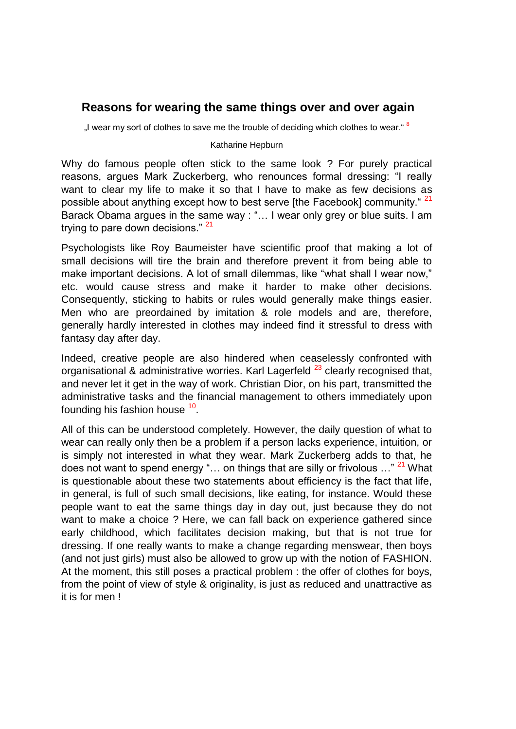### **Reasons for wearing the same things over and over again**

"I wear my sort of clothes to save me the trouble of deciding which clothes to wear."  $8$ 

#### Katharine Hepburn

Why do famous people often stick to the same look ? For purely practical reasons, argues Mark Zuckerberg, who renounces formal dressing: "I really want to clear my life to make it so that I have to make as few decisions as possible about anything except how to best serve [the Facebook] community. <sup>21</sup> Barack Obama argues in the same way : "… I wear only grey or blue suits. I am trying to pare down decisions." <sup>21</sup>

Psychologists like Roy Baumeister have scientific proof that making a lot of small decisions will tire the brain and therefore prevent it from being able to make important decisions. A lot of small dilemmas, like "what shall I wear now," etc. would cause stress and make it harder to make other decisions. Consequently, sticking to habits or rules would generally make things easier. Men who are preordained by imitation & role models and are, therefore, generally hardly interested in clothes may indeed find it stressful to dress with fantasy day after day.

Indeed, creative people are also hindered when ceaselessly confronted with organisational & administrative worries. Karl Lagerfeld  $^{23}$  clearly recognised that, and never let it get in the way of work. Christian Dior, on his part, transmitted the administrative tasks and the financial management to others immediately upon founding his fashion house <sup>10</sup>.

All of this can be understood completely. However, the daily question of what to wear can really only then be a problem if a person lacks experience, intuition, or is simply not interested in what they wear. Mark Zuckerberg adds to that, he does not want to spend energy "... on things that are silly or frivolous  $\ldots$ "  $^{21}$  What is questionable about these two statements about efficiency is the fact that life, in general, is full of such small decisions, like eating, for instance. Would these people want to eat the same things day in day out, just because they do not want to make a choice ? Here, we can fall back on experience gathered since early childhood, which facilitates decision making, but that is not true for dressing. If one really wants to make a change regarding menswear, then boys (and not just girls) must also be allowed to grow up with the notion of FASHION. At the moment, this still poses a practical problem : the offer of clothes for boys, from the point of view of style & originality, is just as reduced and unattractive as it is for men !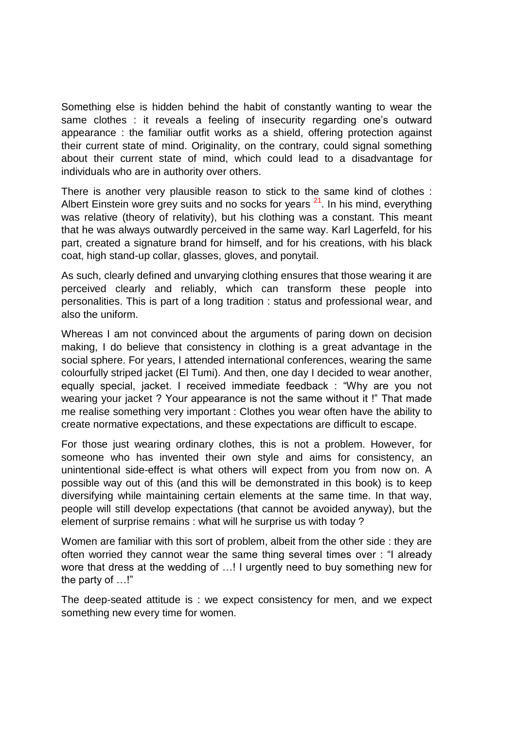Something else is hidden behind the habit of constantly wanting to wear the same clothes : it reveals a feeling of insecurity regarding one's outward appearance : the familiar outfit works as a shield, offering protection against their current state of mind. Originality, on the contrary, could signal something about their current state of mind, which could lead to a disadvantage for individuals who are in authority over others.

There is another very plausible reason to stick to the same kind of clothes : Albert Einstein wore grey suits and no socks for years  $2<sup>1</sup>$ . In his mind, everything was relative (theory of relativity), but his clothing was a constant. This meant that he was always outwardly perceived in the same way. Karl Lagerfeld, for his part, created a signature brand for himself, and for his creations, with his black coat, high stand-up collar, glasses, gloves, and ponytail.

As such, clearly defined and unvarying clothing ensures that those wearing it are perceived clearly and reliably, which can transform these people into personalities. This is part of a long tradition : status and professional wear, and also the uniform.

Whereas I am not convinced about the arguments of paring down on decision making, I do believe that consistency in clothing is a great advantage in the social sphere. For years, I attended international conferences, wearing the same colourfully striped jacket (El Tumi). And then, one day I decided to wear another, equally special, jacket. I received immediate feedback : "Why are you not wearing your jacket ? Your appearance is not the same without it !" That made me realise something very important : Clothes you wear often have the ability to create normative expectations, and these expectations are difficult to escape.

For those just wearing ordinary clothes, this is not a problem. However, for someone who has invented their own style and aims for consistency, an unintentional side-effect is what others will expect from you from now on. A possible way out of this (and this will be demonstrated in this book) is to keep diversifying while maintaining certain elements at the same time. In that way, people will still develop expectations (that cannot be avoided anyway), but the element of surprise remains : what will he surprise us with today ?

Women are familiar with this sort of problem, albeit from the other side : they are often worried they cannot wear the same thing several times over : "I already wore that dress at the wedding of …! I urgently need to buy something new for the party of …!"

The deep-seated attitude is : we expect consistency for men, and we expect something new every time for women.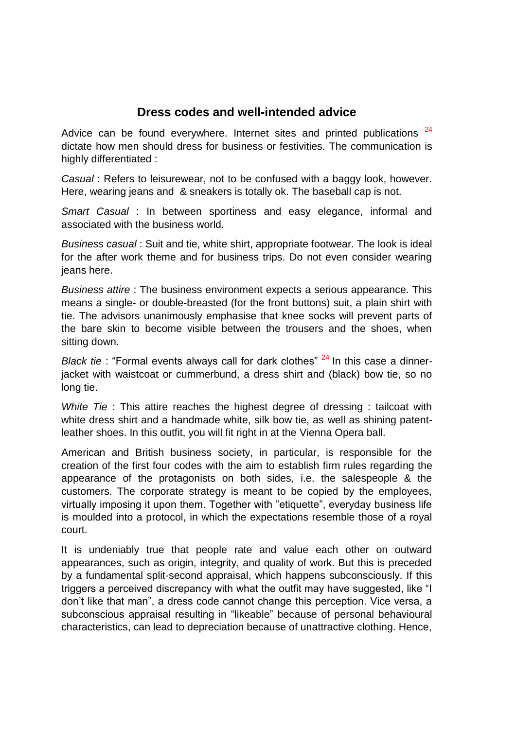# **Dress codes and well-intended advice**

Advice can be found everywhere. Internet sites and printed publications  $24$ dictate how men should dress for business or festivities. The communication is highly differentiated :

*Casual* : Refers to leisurewear, not to be confused with a baggy look, however. Here, wearing jeans and & sneakers is totally ok. The baseball cap is not.

*Smart Casual* : In between sportiness and easy elegance, informal and associated with the business world.

*Business casual* : Suit and tie, white shirt, appropriate footwear. The look is ideal for the after work theme and for business trips. Do not even consider wearing jeans here.

*Business attire* : The business environment expects a serious appearance. This means a single- or double-breasted (for the front buttons) suit, a plain shirt with tie. The advisors unanimously emphasise that knee socks will prevent parts of the bare skin to become visible between the trousers and the shoes, when sitting down.

*Black tie*: "Formal events always call for dark clothes" <sup>24</sup> In this case a dinnerjacket with waistcoat or cummerbund, a dress shirt and (black) bow tie, so no long tie.

*White Tie*: This attire reaches the highest degree of dressing: tailcoat with white dress shirt and a handmade white, silk bow tie, as well as shining patentleather shoes. In this outfit, you will fit right in at the Vienna Opera ball.

American and British business society, in particular, is responsible for the creation of the first four codes with the aim to establish firm rules regarding the appearance of the protagonists on both sides, i.e. the salespeople & the customers. The corporate strategy is meant to be copied by the employees, virtually imposing it upon them. Together with "etiquette", everyday business life is moulded into a protocol, in which the expectations resemble those of a royal court.

It is undeniably true that people rate and value each other on outward appearances, such as origin, integrity, and quality of work. But this is preceded by a fundamental split-second appraisal, which happens subconsciously. If this triggers a perceived discrepancy with what the outfit may have suggested, like "I don't like that man", a dress code cannot change this perception. Vice versa, a subconscious appraisal resulting in "likeable" because of personal behavioural characteristics, can lead to depreciation because of unattractive clothing. Hence,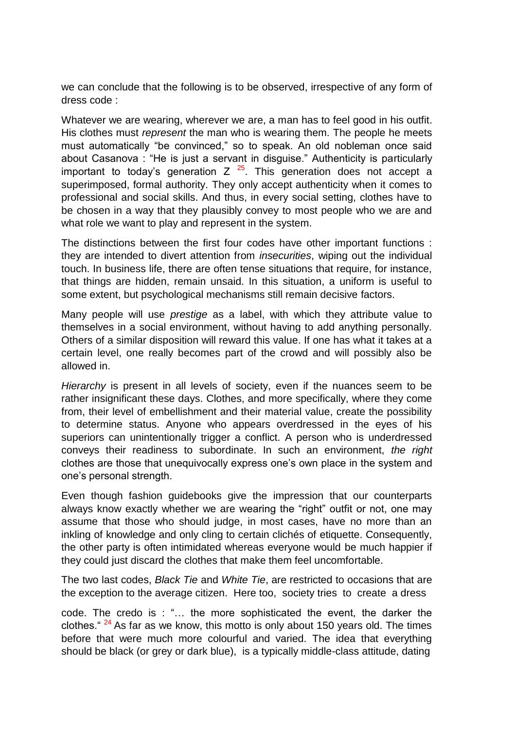we can conclude that the following is to be observed, irrespective of any form of dress code :

Whatever we are wearing, wherever we are, a man has to feel good in his outfit. His clothes must *represent* the man who is wearing them. The people he meets must automatically "be convinced," so to speak. An old nobleman once said about Casanova : "He is just a servant in disguise." Authenticity is particularly important to today's generation  $Z^{25}$ . This generation does not accept a superimposed, formal authority. They only accept authenticity when it comes to professional and social skills. And thus, in every social setting, clothes have to be chosen in a way that they plausibly convey to most people who we are and what role we want to play and represent in the system.

The distinctions between the first four codes have other important functions : they are intended to divert attention from *insecurities*, wiping out the individual touch. In business life, there are often tense situations that require, for instance, that things are hidden, remain unsaid. In this situation, a uniform is useful to some extent, but psychological mechanisms still remain decisive factors.

Many people will use *prestige* as a label, with which they attribute value to themselves in a social environment, without having to add anything personally. Others of a similar disposition will reward this value. If one has what it takes at a certain level, one really becomes part of the crowd and will possibly also be allowed in.

*Hierarchy* is present in all levels of society, even if the nuances seem to be rather insignificant these days. Clothes, and more specifically, where they come from, their level of embellishment and their material value, create the possibility to determine status. Anyone who appears overdressed in the eyes of his superiors can unintentionally trigger a conflict. A person who is underdressed conveys their readiness to subordinate. In such an environment, *the right* clothes are those that unequivocally express one's own place in the system and one's personal strength.

Even though fashion guidebooks give the impression that our counterparts always know exactly whether we are wearing the "right" outfit or not, one may assume that those who should judge, in most cases, have no more than an inkling of knowledge and only cling to certain clichés of etiquette. Consequently, the other party is often intimidated whereas everyone would be much happier if they could just discard the clothes that make them feel uncomfortable.

The two last codes, *Black Tie* and *White Tie*, are restricted to occasions that are the exception to the average citizen. Here too, society tries to create a dress

code. The credo is : "… the more sophisticated the event, the darker the clothes."  $24$  As far as we know, this motto is only about 150 years old. The times before that were much more colourful and varied. The idea that everything should be black (or grey or dark blue), is a typically middle-class attitude, dating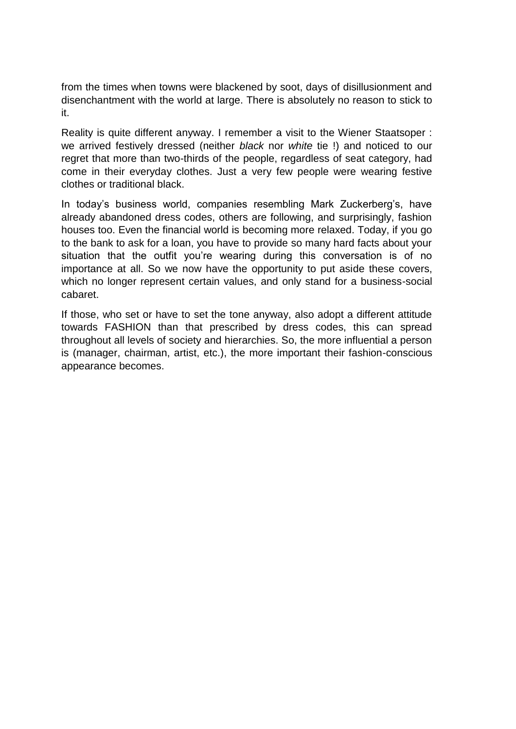from the times when towns were blackened by soot, days of disillusionment and disenchantment with the world at large. There is absolutely no reason to stick to it.

Reality is quite different anyway. I remember a visit to the Wiener Staatsoper : we arrived festively dressed (neither *black* nor *white* tie !) and noticed to our regret that more than two-thirds of the people, regardless of seat category, had come in their everyday clothes. Just a very few people were wearing festive clothes or traditional black.

In today's business world, companies resembling Mark Zuckerberg's, have already abandoned dress codes, others are following, and surprisingly, fashion houses too. Even the financial world is becoming more relaxed. Today, if you go to the bank to ask for a loan, you have to provide so many hard facts about your situation that the outfit you're wearing during this conversation is of no importance at all. So we now have the opportunity to put aside these covers, which no longer represent certain values, and only stand for a business-social cabaret.

If those, who set or have to set the tone anyway, also adopt a different attitude towards FASHION than that prescribed by dress codes, this can spread throughout all levels of society and hierarchies. So, the more influential a person is (manager, chairman, artist, etc.), the more important their fashion-conscious appearance becomes.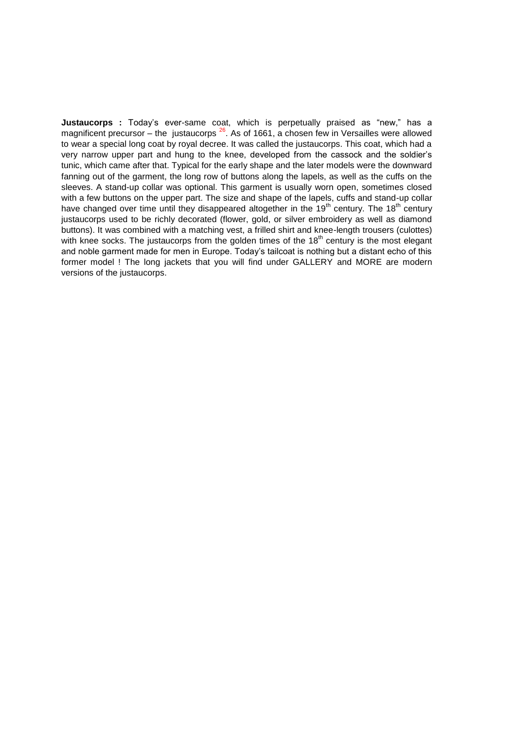**Justaucorps :** Today's ever-same coat, which is perpetually praised as "new," has a magnificent precursor – the justaucorps  $26$ . As of 1661, a chosen few in Versailles were allowed to wear a special long coat by royal decree. It was called the justaucorps. This coat, which had a very narrow upper part and hung to the knee, developed from the cassock and the soldier's tunic, which came after that. Typical for the early shape and the later models were the downward fanning out of the garment, the long row of buttons along the lapels, as well as the cuffs on the sleeves. A stand-up collar was optional. This garment is usually worn open, sometimes closed with a few buttons on the upper part. The size and shape of the lapels, cuffs and stand-up collar have changed over time until they disappeared altogether in the  $19<sup>th</sup>$  century. The  $18<sup>th</sup>$  century justaucorps used to be richly decorated (flower, gold, or silver embroidery as well as diamond buttons). It was combined with a matching vest, a frilled shirt and knee-length trousers (culottes) with knee socks. The justaucorps from the golden times of the  $18<sup>th</sup>$  century is the most elegant and noble garment made for men in Europe. Today's tailcoat is nothing but a distant echo of this former model ! The long jackets that you will find under GALLERY and MORE are modern versions of the justaucorps.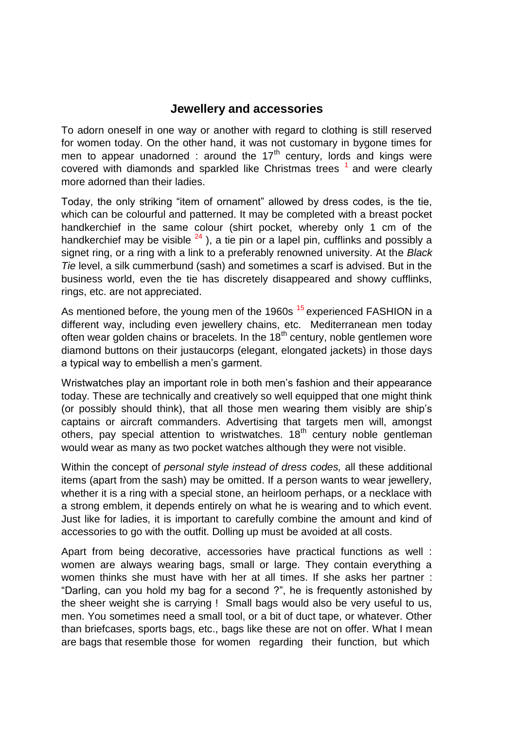#### **Jewellery and accessories**

To adorn oneself in one way or another with regard to clothing is still reserved for women today. On the other hand, it was not customary in bygone times for men to appear unadorned : around the  $17<sup>th</sup>$  century, lords and kings were covered with diamonds and sparkled like Christmas trees  $<sup>1</sup>$  and were clearly</sup> more adorned than their ladies.

Today, the only striking "item of ornament" allowed by dress codes, is the tie, which can be colourful and patterned. It may be completed with a breast pocket handkerchief in the same colour (shirt pocket, whereby only 1 cm of the handkerchief may be visible  $^{24}$ ), a tie pin or a lapel pin, cufflinks and possibly a signet ring, or a ring with a link to a preferably renowned university. At the *Black Tie* level, a silk cummerbund (sash) and sometimes a scarf is advised. But in the business world, even the tie has discretely disappeared and showy cufflinks, rings, etc. are not appreciated.

As mentioned before, the young men of the 1960s <sup>15</sup> experienced FASHION in a different way, including even jewellery chains, etc. Mediterranean men today often wear golden chains or bracelets. In the  $18<sup>th</sup>$  century, noble gentlemen wore diamond buttons on their justaucorps (elegant, elongated jackets) in those days a typical way to embellish a men's garment.

Wristwatches play an important role in both men's fashion and their appearance today. These are technically and creatively so well equipped that one might think (or possibly should think), that all those men wearing them visibly are ship's captains or aircraft commanders. Advertising that targets men will, amongst others, pay special attention to wristwatches.  $18<sup>th</sup>$  century noble gentleman would wear as many as two pocket watches although they were not visible.

Within the concept of *personal style instead of dress codes,* all these additional items (apart from the sash) may be omitted. If a person wants to wear jewellery, whether it is a ring with a special stone, an heirloom perhaps, or a necklace with a strong emblem, it depends entirely on what he is wearing and to which event. Just like for ladies, it is important to carefully combine the amount and kind of accessories to go with the outfit. Dolling up must be avoided at all costs.

Apart from being decorative, accessories have practical functions as well : women are always wearing bags, small or large. They contain everything a women thinks she must have with her at all times. If she asks her partner : "Darling, can you hold my bag for a second ?", he is frequently astonished by the sheer weight she is carrying ! Small bags would also be very useful to us, men. You sometimes need a small tool, or a bit of duct tape, or whatever. Other than briefcases, sports bags, etc., bags like these are not on offer. What I mean are bags that resemble those for women regarding their function, but which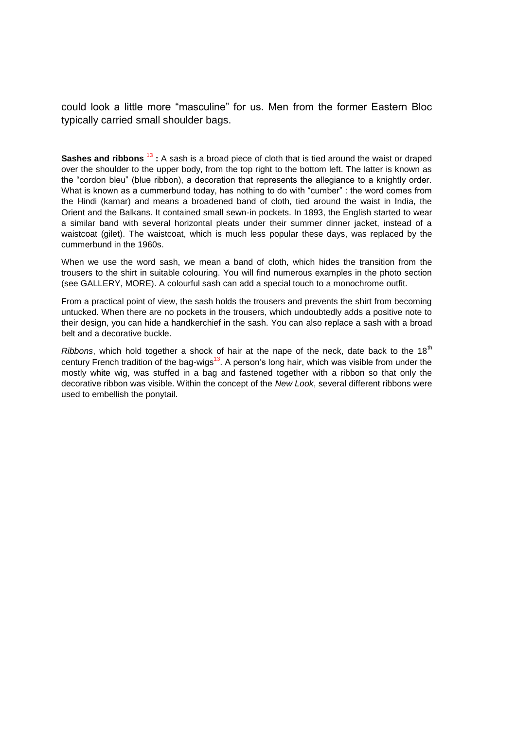could look a little more "masculine" for us. Men from the former Eastern Bloc typically carried small shoulder bags.

**Sashes and ribbons** <sup>13</sup> : A sash is a broad piece of cloth that is tied around the waist or draped over the shoulder to the upper body, from the top right to the bottom left. The latter is known as the "cordon bleu" (blue ribbon), a decoration that represents the allegiance to a knightly order. What is known as a cummerbund today, has nothing to do with "cumber" : the word comes from the Hindi (kamar) and means a broadened band of cloth, tied around the waist in India, the Orient and the Balkans. It contained small sewn-in pockets. In 1893, the English started to wear a similar band with several horizontal pleats under their summer dinner jacket, instead of a waistcoat (gilet). The waistcoat, which is much less popular these days, was replaced by the cummerbund in the 1960s.

When we use the word sash, we mean a band of cloth, which hides the transition from the trousers to the shirt in suitable colouring. You will find numerous examples in the photo section (see GALLERY, MORE). A colourful sash can add a special touch to a monochrome outfit.

From a practical point of view, the sash holds the trousers and prevents the shirt from becoming untucked. When there are no pockets in the trousers, which undoubtedly adds a positive note to their design, you can hide a handkerchief in the sash. You can also replace a sash with a broad belt and a decorative buckle.

*Ribbons*, which hold together a shock of hair at the nape of the neck, date back to the 18<sup>th</sup> century French tradition of the bag-wigs<sup>13</sup>. A person's long hair, which was visible from under the mostly white wig, was stuffed in a bag and fastened together with a ribbon so that only the decorative ribbon was visible. Within the concept of the *New Look*, several different ribbons were used to embellish the ponytail.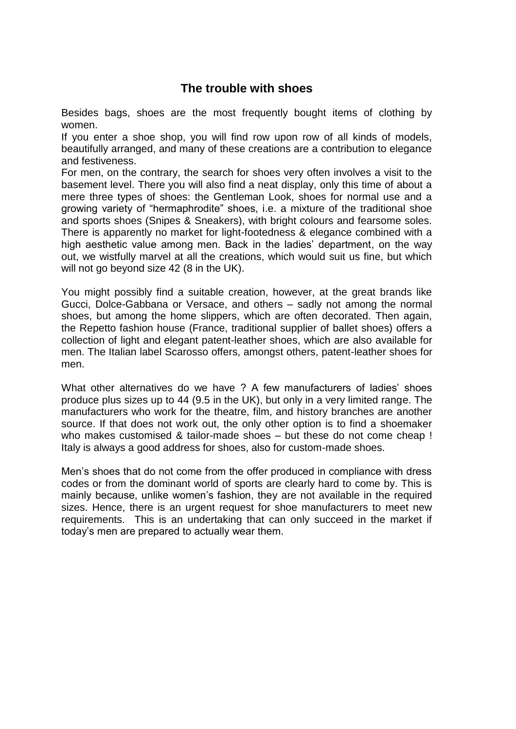# **The trouble with shoes**

Besides bags, shoes are the most frequently bought items of clothing by women.

If you enter a shoe shop, you will find row upon row of all kinds of models, beautifully arranged, and many of these creations are a contribution to elegance and festiveness.

For men, on the contrary, the search for shoes very often involves a visit to the basement level. There you will also find a neat display, only this time of about a mere three types of shoes: the Gentleman Look, shoes for normal use and a growing variety of "hermaphrodite" shoes, i.e. a mixture of the traditional shoe and sports shoes (Snipes & Sneakers), with bright colours and fearsome soles. There is apparently no market for light-footedness & elegance combined with a high aesthetic value among men. Back in the ladies' department, on the way out, we wistfully marvel at all the creations, which would suit us fine, but which will not go beyond size 42 (8 in the UK).

You might possibly find a suitable creation, however, at the great brands like Gucci, Dolce-Gabbana or Versace, and others – sadly not among the normal shoes, but among the home slippers, which are often decorated. Then again, the Repetto fashion house (France, traditional supplier of ballet shoes) offers a collection of light and elegant patent-leather shoes, which are also available for men. The Italian label Scarosso offers, amongst others, patent-leather shoes for men.

What other alternatives do we have ? A few manufacturers of ladies' shoes produce plus sizes up to 44 (9.5 in the UK), but only in a very limited range. The manufacturers who work for the theatre, film, and history branches are another source. If that does not work out, the only other option is to find a shoemaker who makes customised & tailor-made shoes – but these do not come cheap ! Italy is always a good address for shoes, also for custom-made shoes.

Men's shoes that do not come from the offer produced in compliance with dress codes or from the dominant world of sports are clearly hard to come by. This is mainly because, unlike women's fashion, they are not available in the required sizes. Hence, there is an urgent request for shoe manufacturers to meet new requirements. This is an undertaking that can only succeed in the market if today's men are prepared to actually wear them.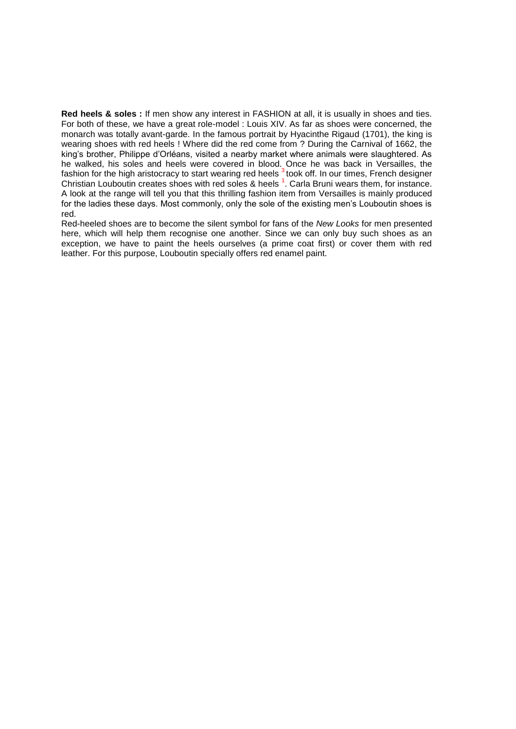**Red heels & soles :** If men show any interest in FASHION at all, it is usually in shoes and ties. For both of these, we have a great role-model : Louis XIV. As far as shoes were concerned, the monarch was totally avant-garde. In the famous portrait by Hyacinthe Rigaud (1701), the king is wearing shoes with red heels ! Where did the red come from ? During the Carnival of 1662, the king's brother, Philippe d'Orléans, visited a nearby market where animals were slaughtered. As he walked, his soles and heels were covered in blood. Once he was back in Versailles, the fashion for the high aristocracy to start wearing red heels  $^3$ took off. In our times, French designer Christian Louboutin creates shoes with red soles & heels<sup>1</sup>. Carla Bruni wears them, for instance. A look at the range will tell you that this thrilling fashion item from Versailles is mainly produced for the ladies these days. Most commonly, only the sole of the existing men's Louboutin shoes is red.

Red-heeled shoes are to become the silent symbol for fans of the *New Looks* for men presented here, which will help them recognise one another. Since we can only buy such shoes as an exception, we have to paint the heels ourselves (a prime coat first) or cover them with red leather. For this purpose, Louboutin specially offers red enamel paint.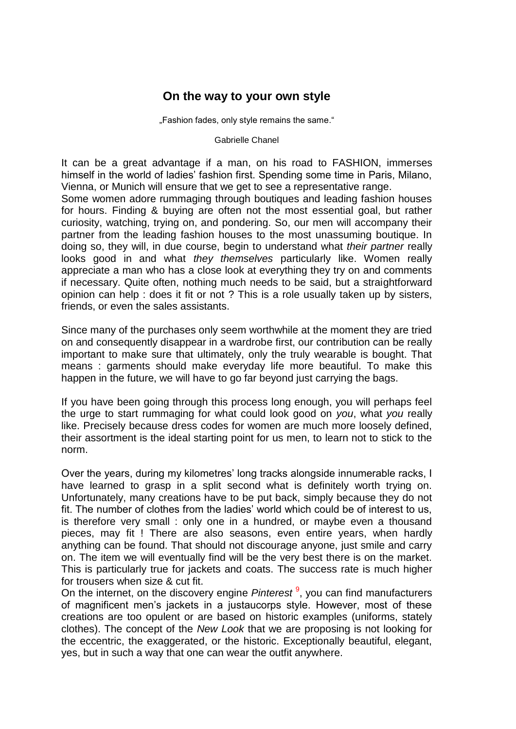#### **On the way to your own style**

"Fashion fades, only style remains the same."

Gabrielle Chanel

It can be a great advantage if a man, on his road to FASHION, immerses himself in the world of ladies' fashion first. Spending some time in Paris, Milano, Vienna, or Munich will ensure that we get to see a representative range.

Some women adore rummaging through boutiques and leading fashion houses for hours. Finding & buying are often not the most essential goal, but rather curiosity, watching, trying on, and pondering. So, our men will accompany their partner from the leading fashion houses to the most unassuming boutique. In doing so, they will, in due course, begin to understand what *their partner* really looks good in and what *they themselves* particularly like. Women really appreciate a man who has a close look at everything they try on and comments if necessary. Quite often, nothing much needs to be said, but a straightforward opinion can help : does it fit or not ? This is a role usually taken up by sisters, friends, or even the sales assistants.

Since many of the purchases only seem worthwhile at the moment they are tried on and consequently disappear in a wardrobe first, our contribution can be really important to make sure that ultimately, only the truly wearable is bought. That means : garments should make everyday life more beautiful. To make this happen in the future, we will have to go far beyond just carrying the bags.

If you have been going through this process long enough, you will perhaps feel the urge to start rummaging for what could look good on *you*, what *you* really like. Precisely because dress codes for women are much more loosely defined, their assortment is the ideal starting point for us men, to learn not to stick to the norm.

Over the years, during my kilometres' long tracks alongside innumerable racks, I have learned to grasp in a split second what is definitely worth trying on. Unfortunately, many creations have to be put back, simply because they do not fit. The number of clothes from the ladies' world which could be of interest to us, is therefore very small : only one in a hundred, or maybe even a thousand pieces, may fit ! There are also seasons, even entire years, when hardly anything can be found. That should not discourage anyone, just smile and carry on. The item we will eventually find will be the very best there is on the market. This is particularly true for jackets and coats. The success rate is much higher for trousers when size & cut fit.

On the internet, on the discovery engine *Pinterest*<sup>9</sup>, you can find manufacturers of magnificent men's jackets in a justaucorps style. However, most of these creations are too opulent or are based on historic examples (uniforms, stately clothes). The concept of the *New Look* that we are proposing is not looking for the eccentric, the exaggerated, or the historic. Exceptionally beautiful, elegant, yes, but in such a way that one can wear the outfit anywhere.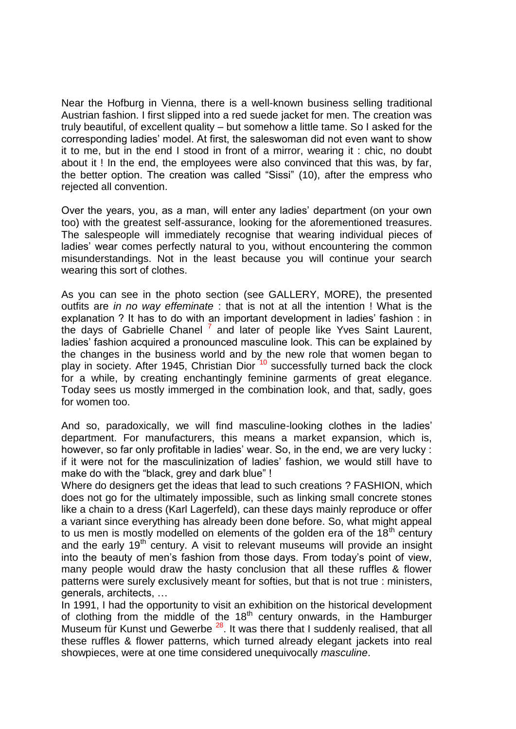Near the Hofburg in Vienna, there is a well-known business selling traditional Austrian fashion. I first slipped into a red suede jacket for men. The creation was truly beautiful, of excellent quality – but somehow a little tame. So I asked for the corresponding ladies' model. At first, the saleswoman did not even want to show it to me, but in the end I stood in front of a mirror, wearing it : chic, no doubt about it ! In the end, the employees were also convinced that this was, by far, the better option. The creation was called "Sissi" (10), after the empress who rejected all convention.

Over the years, you, as a man, will enter any ladies' department (on your own too) with the greatest self-assurance, looking for the aforementioned treasures. The salespeople will immediately recognise that wearing individual pieces of ladies' wear comes perfectly natural to you, without encountering the common misunderstandings. Not in the least because you will continue your search wearing this sort of clothes.

As you can see in the photo section (see GALLERY, MORE), the presented outfits are *in no way effeminate* : that is not at all the intention ! What is the explanation ? It has to do with an important development in ladies' fashion : in the days of Gabrielle Chanel<sup>7</sup> and later of people like Yves Saint Laurent, ladies' fashion acquired a pronounced masculine look. This can be explained by the changes in the business world and by the new role that women began to play in society. After 1945, Christian Dior<sup>'10</sup> successfully turned back the clock for a while, by creating enchantingly feminine garments of great elegance. Today sees us mostly immerged in the combination look, and that, sadly, goes for women too.

And so, paradoxically, we will find masculine-looking clothes in the ladies' department. For manufacturers, this means a market expansion, which is, however, so far only profitable in ladies' wear. So, in the end, we are very lucky : if it were not for the masculinization of ladies' fashion, we would still have to make do with the "black, grey and dark blue" !

Where do designers get the ideas that lead to such creations ? FASHION, which does not go for the ultimately impossible, such as linking small concrete stones like a chain to a dress (Karl Lagerfeld), can these days mainly reproduce or offer a variant since everything has already been done before. So, what might appeal to us men is mostly modelled on elements of the golden era of the  $18<sup>th</sup>$  century and the early  $19<sup>th</sup>$  century. A visit to relevant museums will provide an insight into the beauty of men's fashion from those days. From today's point of view, many people would draw the hasty conclusion that all these ruffles & flower patterns were surely exclusively meant for softies, but that is not true : ministers, generals, architects, …

In 1991, I had the opportunity to visit an exhibition on the historical development of clothing from the middle of the 18<sup>th</sup> century onwards, in the Hamburger Museum für Kunst und Gewerbe<sup>28</sup>. It was there that I suddenly realised, that all these ruffles & flower patterns, which turned already elegant jackets into real showpieces, were at one time considered unequivocally *masculine*.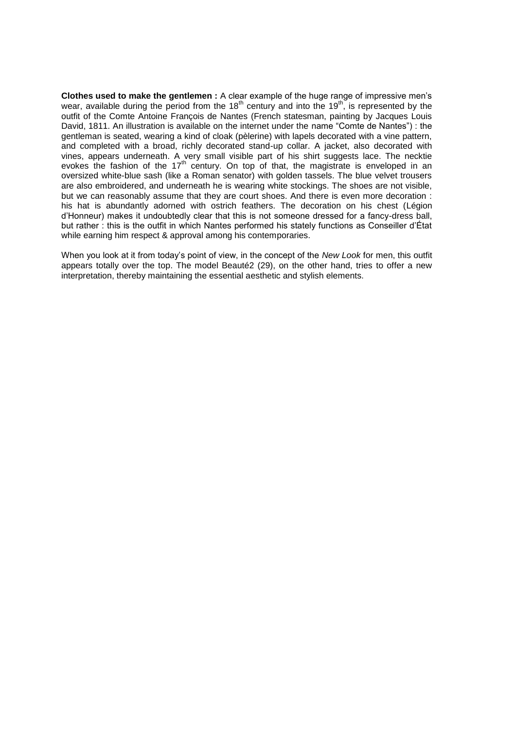**Clothes used to make the gentlemen :** A clear example of the huge range of impressive men's wear, available during the period from the 18<sup>th</sup> century and into the 19<sup>th</sup>, is represented by the outfit of the Comte Antoine François de Nantes (French statesman, painting by Jacques Louis David, 1811. An illustration is available on the internet under the name "Comte de Nantes") : the gentleman is seated, wearing a kind of cloak (pèlerine) with lapels decorated with a vine pattern, and completed with a broad, richly decorated stand-up collar. A jacket, also decorated with vines, appears underneath. A very small visible part of his shirt suggests lace. The necktie evokes the fashion of the  $17<sup>th</sup>$  century. On top of that, the magistrate is enveloped in an oversized white-blue sash (like a Roman senator) with golden tassels. The blue velvet trousers are also embroidered, and underneath he is wearing white stockings. The shoes are not visible, but we can reasonably assume that they are court shoes. And there is even more decoration : his hat is abundantly adorned with ostrich feathers. The decoration on his chest (Légion d'Honneur) makes it undoubtedly clear that this is not someone dressed for a fancy-dress ball, but rather : this is the outfit in which Nantes performed his stately functions as Conseiller d'État while earning him respect & approval among his contemporaries.

When you look at it from today's point of view, in the concept of the *New Look* for men, this outfit appears totally over the top. The model Beauté2 (29), on the other hand, tries to offer a new interpretation, thereby maintaining the essential aesthetic and stylish elements.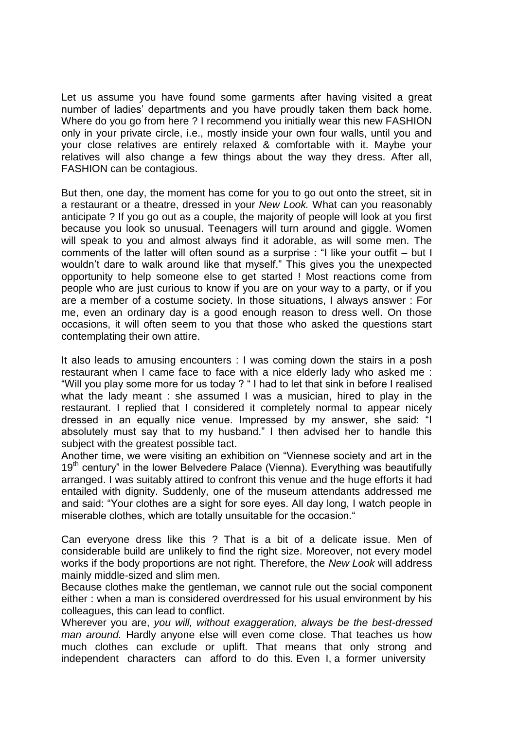Let us assume you have found some garments after having visited a great number of ladies' departments and you have proudly taken them back home. Where do you go from here ? I recommend you initially wear this new FASHION only in your private circle, i.e., mostly inside your own four walls, until you and your close relatives are entirely relaxed & comfortable with it. Maybe your relatives will also change a few things about the way they dress. After all, FASHION can be contagious.

But then, one day, the moment has come for you to go out onto the street, sit in a restaurant or a theatre, dressed in your *New Look.* What can you reasonably anticipate ? If you go out as a couple, the majority of people will look at you first because you look so unusual. Teenagers will turn around and giggle. Women will speak to you and almost always find it adorable, as will some men. The comments of the latter will often sound as a surprise : "I like your outfit – but I wouldn't dare to walk around like that myself." This gives you the unexpected opportunity to help someone else to get started ! Most reactions come from people who are just curious to know if you are on your way to a party, or if you are a member of a costume society. In those situations, I always answer : For me, even an ordinary day is a good enough reason to dress well. On those occasions, it will often seem to you that those who asked the questions start contemplating their own attire.

It also leads to amusing encounters : I was coming down the stairs in a posh restaurant when I came face to face with a nice elderly lady who asked me : "Will you play some more for us today ? " I had to let that sink in before I realised what the lady meant : she assumed I was a musician, hired to play in the restaurant. I replied that I considered it completely normal to appear nicely dressed in an equally nice venue. Impressed by my answer, she said: "I absolutely must say that to my husband." I then advised her to handle this subject with the greatest possible tact.

Another time, we were visiting an exhibition on "Viennese society and art in the  $19<sup>th</sup>$  century" in the lower Belvedere Palace (Vienna). Everything was beautifully arranged. I was suitably attired to confront this venue and the huge efforts it had entailed with dignity. Suddenly, one of the museum attendants addressed me and said: "Your clothes are a sight for sore eyes. All day long, I watch people in miserable clothes, which are totally unsuitable for the occasion."

Can everyone dress like this ? That is a bit of a delicate issue. Men of considerable build are unlikely to find the right size. Moreover, not every model works if the body proportions are not right. Therefore, the *New Look* will address mainly middle-sized and slim men.

Because clothes make the gentleman, we cannot rule out the social component either : when a man is considered overdressed for his usual environment by his colleagues, this can lead to conflict.

Wherever you are, *you will, without exaggeration, always be the best-dressed man around.* Hardly anyone else will even come close. That teaches us how much clothes can exclude or uplift. That means that only strong and independent characters can afford to do this. Even I, a former university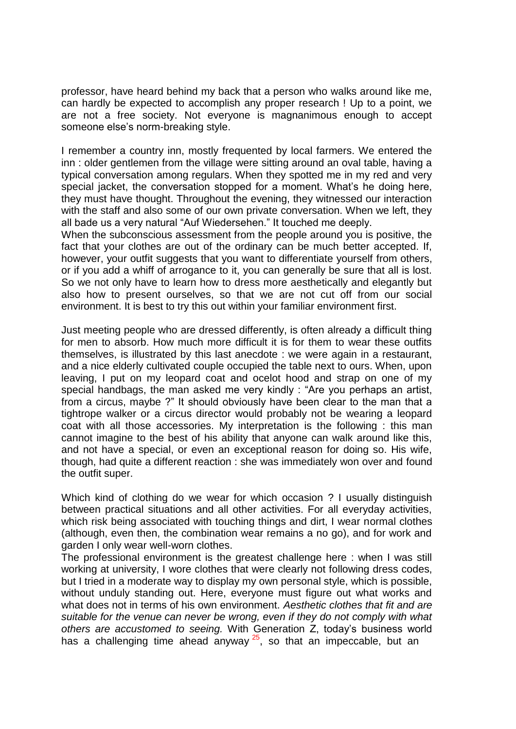professor, have heard behind my back that a person who walks around like me, can hardly be expected to accomplish any proper research ! Up to a point, we are not a free society. Not everyone is magnanimous enough to accept someone else's norm-breaking style.

I remember a country inn, mostly frequented by local farmers. We entered the inn : older gentlemen from the village were sitting around an oval table, having a typical conversation among regulars. When they spotted me in my red and very special jacket, the conversation stopped for a moment. What's he doing here, they must have thought. Throughout the evening, they witnessed our interaction with the staff and also some of our own private conversation. When we left, they all bade us a very natural "Auf Wiedersehen." It touched me deeply.

When the subconscious assessment from the people around you is positive, the fact that your clothes are out of the ordinary can be much better accepted. If, however, your outfit suggests that you want to differentiate yourself from others, or if you add a whiff of arrogance to it, you can generally be sure that all is lost. So we not only have to learn how to dress more aesthetically and elegantly but also how to present ourselves, so that we are not cut off from our social environment. It is best to try this out within your familiar environment first.

Just meeting people who are dressed differently, is often already a difficult thing for men to absorb. How much more difficult it is for them to wear these outfits themselves, is illustrated by this last anecdote : we were again in a restaurant, and a nice elderly cultivated couple occupied the table next to ours. When, upon leaving, I put on my leopard coat and ocelot hood and strap on one of my special handbags, the man asked me very kindly : "Are you perhaps an artist, from a circus, maybe ?" It should obviously have been clear to the man that a tightrope walker or a circus director would probably not be wearing a leopard coat with all those accessories. My interpretation is the following : this man cannot imagine to the best of his ability that anyone can walk around like this, and not have a special, or even an exceptional reason for doing so. His wife, though, had quite a different reaction : she was immediately won over and found the outfit super.

Which kind of clothing do we wear for which occasion ? I usually distinguish between practical situations and all other activities. For all everyday activities, which risk being associated with touching things and dirt, I wear normal clothes (although, even then, the combination wear remains a no go), and for work and garden I only wear well-worn clothes.

The professional environment is the greatest challenge here : when I was still working at university, I wore clothes that were clearly not following dress codes, but I tried in a moderate way to display my own personal style, which is possible, without unduly standing out. Here, everyone must figure out what works and what does not in terms of his own environment. *Aesthetic clothes that fit and are suitable for the venue can never be wrong, even if they do not comply with what others are accustomed to seeing.* With Generation Z, today's business world has a challenging time ahead anyway<sup>25</sup>, so that an impeccable, but an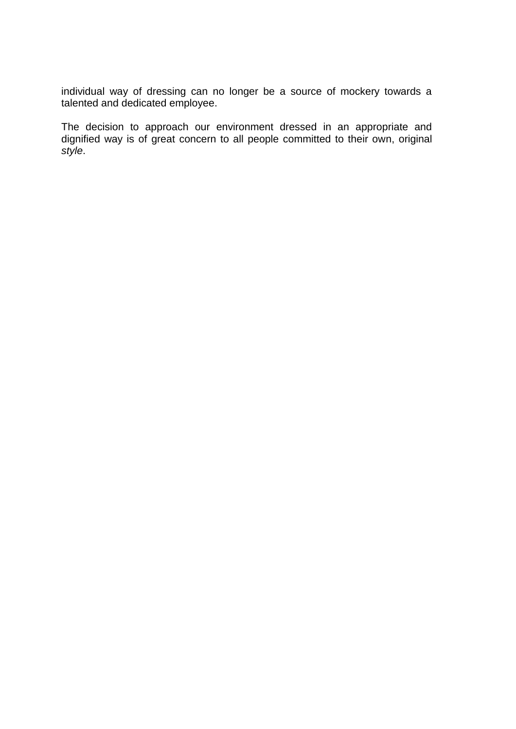individual way of dressing can no longer be a source of mockery towards a talented and dedicated employee.

The decision to approach our environment dressed in an appropriate and dignified way is of great concern to all people committed to their own, original *style*.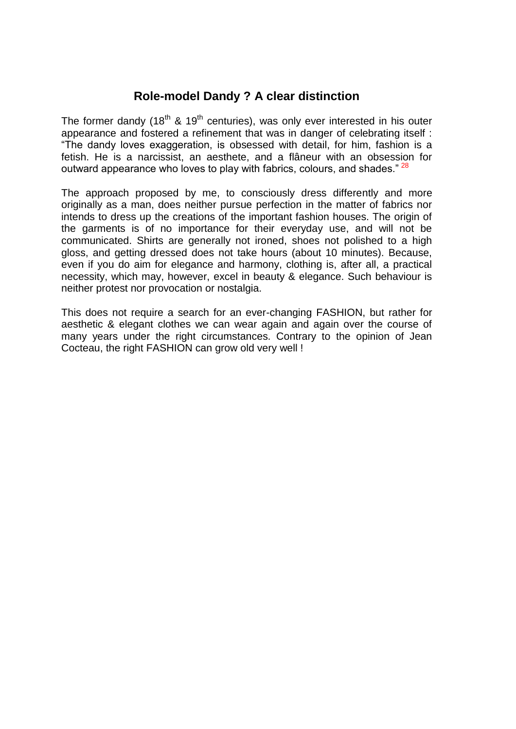### **Role-model Dandy ? A clear distinction**

The former dandy (18<sup>th</sup> & 19<sup>th</sup> centuries), was only ever interested in his outer appearance and fostered a refinement that was in danger of celebrating itself : "The dandy loves exaggeration, is obsessed with detail, for him, fashion is a fetish. He is a narcissist, an aesthete, and a flâneur with an obsession for outward appearance who loves to play with fabrics, colours, and shades." <sup>28</sup>

The approach proposed by me, to consciously dress differently and more originally as a man, does neither pursue perfection in the matter of fabrics nor intends to dress up the creations of the important fashion houses. The origin of the garments is of no importance for their everyday use, and will not be communicated. Shirts are generally not ironed, shoes not polished to a high gloss, and getting dressed does not take hours (about 10 minutes). Because, even if you do aim for elegance and harmony, clothing is, after all, a practical necessity, which may, however, excel in beauty & elegance. Such behaviour is neither protest nor provocation or nostalgia.

This does not require a search for an ever-changing FASHION, but rather for aesthetic & elegant clothes we can wear again and again over the course of many years under the right circumstances. Contrary to the opinion of Jean Cocteau, the right FASHION can grow old very well !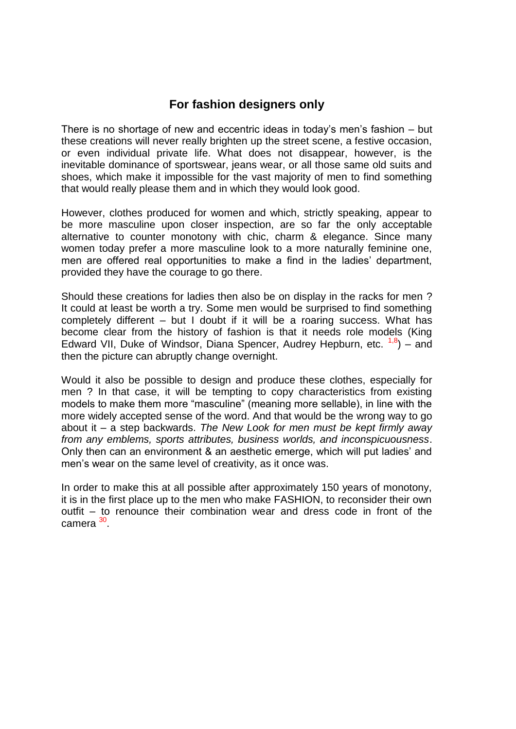### **For fashion designers only**

There is no shortage of new and eccentric ideas in today's men's fashion – but these creations will never really brighten up the street scene, a festive occasion, or even individual private life. What does not disappear, however, is the inevitable dominance of sportswear, jeans wear, or all those same old suits and shoes, which make it impossible for the vast majority of men to find something that would really please them and in which they would look good.

However, clothes produced for women and which, strictly speaking, appear to be more masculine upon closer inspection, are so far the only acceptable alternative to counter monotony with chic, charm & elegance. Since many women today prefer a more masculine look to a more naturally feminine one, men are offered real opportunities to make a find in the ladies' department, provided they have the courage to go there.

Should these creations for ladies then also be on display in the racks for men ? It could at least be worth a try. Some men would be surprised to find something completely different – but I doubt if it will be a roaring success. What has become clear from the history of fashion is that it needs role models (King Edward VII, Duke of Windsor, Diana Spencer, Audrey Hepburn, etc.  $1,8$ ) – and then the picture can abruptly change overnight.

Would it also be possible to design and produce these clothes, especially for men ? In that case, it will be tempting to copy characteristics from existing models to make them more "masculine" (meaning more sellable), in line with the more widely accepted sense of the word. And that would be the wrong way to go about it – a step backwards. *The New Look for men must be kept firmly away from any emblems, sports attributes, business worlds, and inconspicuousness*. Only then can an environment & an aesthetic emerge, which will put ladies' and men's wear on the same level of creativity, as it once was.

In order to make this at all possible after approximately 150 years of monotony, it is in the first place up to the men who make FASHION, to reconsider their own outfit – to renounce their combination wear and dress code in front of the camera <sup>30</sup>.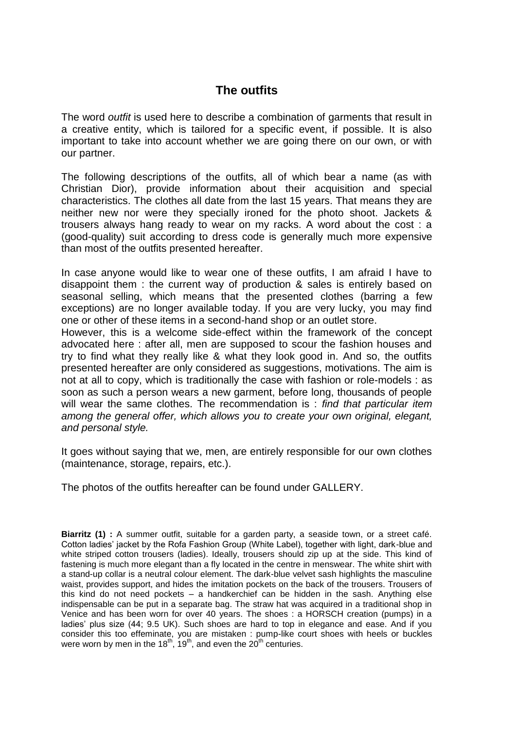# **The outfits**

The word *outfit* is used here to describe a combination of garments that result in a creative entity, which is tailored for a specific event, if possible. It is also important to take into account whether we are going there on our own, or with our partner.

The following descriptions of the outfits, all of which bear a name (as with Christian Dior), provide information about their acquisition and special characteristics. The clothes all date from the last 15 years. That means they are neither new nor were they specially ironed for the photo shoot. Jackets & trousers always hang ready to wear on my racks. A word about the cost : a (good-quality) suit according to dress code is generally much more expensive than most of the outfits presented hereafter.

In case anyone would like to wear one of these outfits, I am afraid I have to disappoint them : the current way of production & sales is entirely based on seasonal selling, which means that the presented clothes (barring a few exceptions) are no longer available today. If you are very lucky, you may find one or other of these items in a second-hand shop or an outlet store.

However, this is a welcome side-effect within the framework of the concept advocated here : after all, men are supposed to scour the fashion houses and try to find what they really like & what they look good in. And so, the outfits presented hereafter are only considered as suggestions, motivations. The aim is not at all to copy, which is traditionally the case with fashion or role-models : as soon as such a person wears a new garment, before long, thousands of people will wear the same clothes. The recommendation is : *find that particular item among the general offer, which allows you to create your own original, elegant, and personal style.* 

It goes without saying that we, men, are entirely responsible for our own clothes (maintenance, storage, repairs, etc.).

The photos of the outfits hereafter can be found under GALLERY.

**Biarritz (1) :** A summer outfit, suitable for a garden party, a seaside town, or a street café. Cotton ladies' jacket by the Rofa Fashion Group (White Label), together with light, dark-blue and white striped cotton trousers (ladies). Ideally, trousers should zip up at the side. This kind of fastening is much more elegant than a fly located in the centre in menswear. The white shirt with a stand-up collar is a neutral colour element. The dark-blue velvet sash highlights the masculine waist, provides support, and hides the imitation pockets on the back of the trousers. Trousers of this kind do not need pockets – a handkerchief can be hidden in the sash. Anything else indispensable can be put in a separate bag. The straw hat was acquired in a traditional shop in Venice and has been worn for over 40 years. The shoes : a HORSCH creation (pumps) in a ladies' plus size (44; 9.5 UK). Such shoes are hard to top in elegance and ease. And if you consider this too effeminate, you are mistaken : pump-like court shoes with heels or buckles were worn by men in the  $18^{th}$ ,  $19^{th}$ , and even the  $20^{th}$  centuries.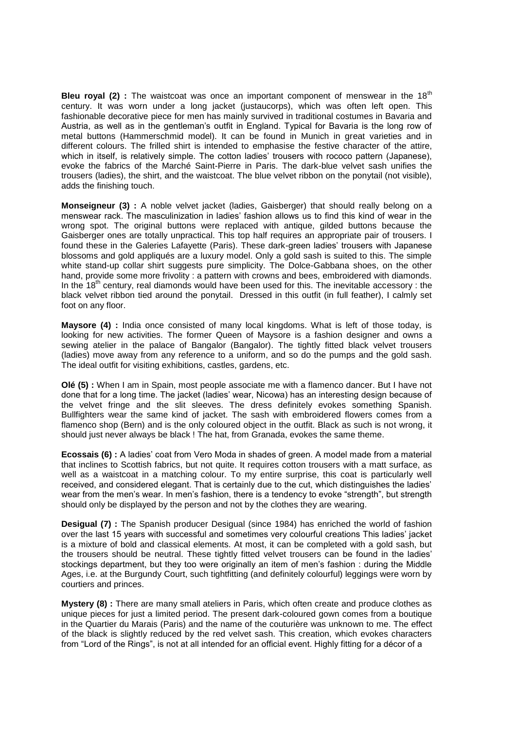**Bleu royal (2) :** The waistcoat was once an important component of menswear in the 18<sup>th</sup> century. It was worn under a long jacket (justaucorps), which was often left open. This fashionable decorative piece for men has mainly survived in traditional costumes in Bavaria and Austria, as well as in the gentleman's outfit in England. Typical for Bavaria is the long row of metal buttons (Hammerschmid model). It can be found in Munich in great varieties and in different colours. The frilled shirt is intended to emphasise the festive character of the attire, which in itself, is relatively simple. The cotton ladies' trousers with rococo pattern (Japanese), evoke the fabrics of the Marché Saint-Pierre in Paris. The dark-blue velvet sash unifies the trousers (ladies), the shirt, and the waistcoat. The blue velvet ribbon on the ponytail (not visible), adds the finishing touch.

**Monseigneur (3)** : A noble velvet jacket (ladies, Gaisberger) that should really belong on a menswear rack. The masculinization in ladies' fashion allows us to find this kind of wear in the wrong spot. The original buttons were replaced with antique, gilded buttons because the Gaisberger ones are totally unpractical. This top half requires an appropriate pair of trousers. I found these in the Galeries Lafayette (Paris). These dark-green ladies' trousers with Japanese blossoms and gold appliqués are a luxury model. Only a gold sash is suited to this. The simple white stand-up collar shirt suggests pure simplicity. The Dolce-Gabbana shoes, on the other hand, provide some more frivolity : a pattern with crowns and bees, embroidered with diamonds. In the  $18<sup>th</sup>$  century, real diamonds would have been used for this. The inevitable accessory : the black velvet ribbon tied around the ponytail. Dressed in this outfit (in full feather), I calmly set foot on any floor.

**Maysore (4) :** India once consisted of many local kingdoms. What is left of those today, is looking for new activities. The former Queen of Maysore is a fashion designer and owns a sewing atelier in the palace of Bangalor (Bangalor). The tightly fitted black velvet trousers (ladies) move away from any reference to a uniform, and so do the pumps and the gold sash. The ideal outfit for visiting exhibitions, castles, gardens, etc.

**Olé (5) :** When I am in Spain, most people associate me with a flamenco dancer. But I have not done that for a long time. The jacket (ladies' wear, Nicowa) has an interesting design because of the velvet fringe and the slit sleeves. The dress definitely evokes something Spanish. Bullfighters wear the same kind of jacket. The sash with embroidered flowers comes from a flamenco shop (Bern) and is the only coloured object in the outfit. Black as such is not wrong, it should just never always be black ! The hat, from Granada, evokes the same theme.

**Ecossais (6) :** A ladies' coat from Vero Moda in shades of green. A model made from a material that inclines to Scottish fabrics, but not quite. It requires cotton trousers with a matt surface, as well as a waistcoat in a matching colour. To my entire surprise, this coat is particularly well received, and considered elegant. That is certainly due to the cut, which distinguishes the ladies' wear from the men's wear. In men's fashion, there is a tendency to evoke "strength", but strength should only be displayed by the person and not by the clothes they are wearing.

**Desigual (7) :** The Spanish producer Desigual (since 1984) has enriched the world of fashion over the last 15 years with successful and sometimes very colourful creations This ladies' jacket is a mixture of bold and classical elements. At most, it can be completed with a gold sash, but the trousers should be neutral. These tightly fitted velvet trousers can be found in the ladies' stockings department, but they too were originally an item of men's fashion : during the Middle Ages, i.e. at the Burgundy Court, such tightfitting (and definitely colourful) leggings were worn by courtiers and princes.

**Mystery (8) :** There are many small ateliers in Paris, which often create and produce clothes as unique pieces for just a limited period. The present dark-coloured gown comes from a boutique in the Quartier du Marais (Paris) and the name of the couturière was unknown to me. The effect of the black is slightly reduced by the red velvet sash. This creation, which evokes characters from "Lord of the Rings", is not at all intended for an official event. Highly fitting for a décor of a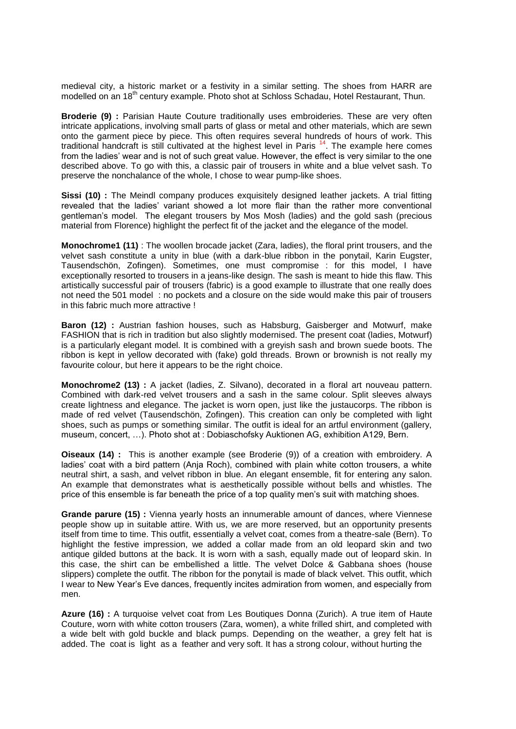medieval city, a historic market or a festivity in a similar setting. The shoes from HARR are modelled on an 18<sup>th</sup> century example. Photo shot at Schloss Schadau, Hotel Restaurant, Thun.

**Broderie (9) :** Parisian Haute Couture traditionally uses embroideries. These are very often intricate applications, involving small parts of glass or metal and other materials, which are sewn onto the garment piece by piece. This often requires several hundreds of hours of work. This traditional handcraft is still cultivated at the highest level in Paris <sup>14</sup>. The example here comes from the ladies' wear and is not of such great value. However, the effect is very similar to the one described above. To go with this, a classic pair of trousers in white and a blue velvet sash. To preserve the nonchalance of the whole, I chose to wear pump-like shoes.

**Sissi (10) :** The Meindl company produces exquisitely designed leather jackets. A trial fitting revealed that the ladies' variant showed a lot more flair than the rather more conventional gentleman's model. The elegant trousers by Mos Mosh (ladies) and the gold sash (precious material from Florence) highlight the perfect fit of the jacket and the elegance of the model.

**Monochrome1 (11)** : The woollen brocade jacket (Zara, ladies), the floral print trousers, and the velvet sash constitute a unity in blue (with a dark-blue ribbon in the ponytail, Karin Eugster, Tausendschön, Zofingen). Sometimes, one must compromise : for this model, I have exceptionally resorted to trousers in a jeans-like design. The sash is meant to hide this flaw. This artistically successful pair of trousers (fabric) is a good example to illustrate that one really does not need the 501 model : no pockets and a closure on the side would make this pair of trousers in this fabric much more attractive !

**Baron (12) :** Austrian fashion houses, such as Habsburg, Gaisberger and Motwurf, make FASHION that is rich in tradition but also slightly modernised. The present coat (ladies, Motwurf) is a particularly elegant model. It is combined with a greyish sash and brown suede boots. The ribbon is kept in yellow decorated with (fake) gold threads. Brown or brownish is not really my favourite colour, but here it appears to be the right choice.

**Monochrome2 (13) :** A jacket (ladies, Z. Silvano), decorated in a floral art nouveau pattern. Combined with dark-red velvet trousers and a sash in the same colour. Split sleeves always create lightness and elegance. The jacket is worn open, just like the justaucorps. The ribbon is made of red velvet (Tausendschön, Zofingen). This creation can only be completed with light shoes, such as pumps or something similar. The outfit is ideal for an artful environment (gallery, museum, concert, …). Photo shot at : Dobiaschofsky Auktionen AG, exhibition A129, Bern.

**Oiseaux (14) :** This is another example (see Broderie (9)) of a creation with embroidery. A ladies' coat with a bird pattern (Anja Roch), combined with plain white cotton trousers, a white neutral shirt, a sash, and velvet ribbon in blue. An elegant ensemble, fit for entering any salon. An example that demonstrates what is aesthetically possible without bells and whistles. The price of this ensemble is far beneath the price of a top quality men's suit with matching shoes.

**Grande parure (15) :** Vienna yearly hosts an innumerable amount of dances, where Viennese people show up in suitable attire. With us, we are more reserved, but an opportunity presents itself from time to time. This outfit, essentially a velvet coat, comes from a theatre-sale (Bern). To highlight the festive impression, we added a collar made from an old leopard skin and two antique gilded buttons at the back. It is worn with a sash, equally made out of leopard skin. In this case, the shirt can be embellished a little. The velvet Dolce & Gabbana shoes (house slippers) complete the outfit. The ribbon for the ponytail is made of black velvet. This outfit, which I wear to New Year's Eve dances, frequently incites admiration from women, and especially from men.

**Azure (16) :** A turquoise velvet coat from Les Boutiques Donna (Zurich). A true item of Haute Couture, worn with white cotton trousers (Zara, women), a white frilled shirt, and completed with a wide belt with gold buckle and black pumps. Depending on the weather, a grey felt hat is added. The coat is light as a feather and very soft. It has a strong colour, without hurting the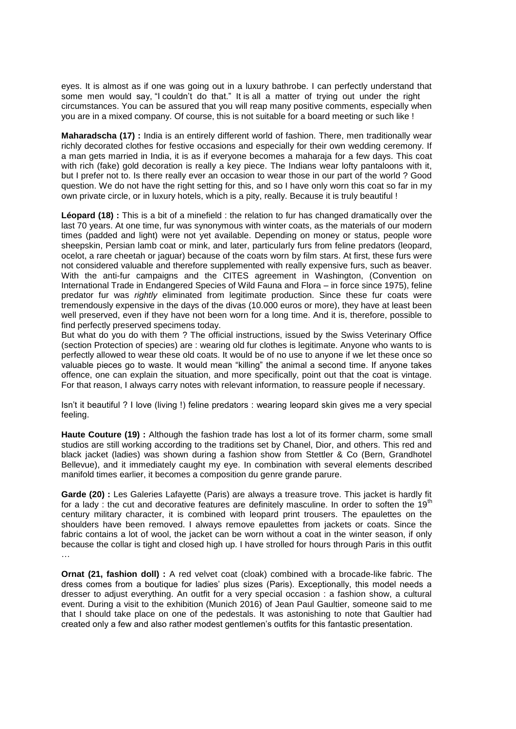eyes. It is almost as if one was going out in a luxury bathrobe. I can perfectly understand that some men would say, "I couldn't do that." It is all a matter of trying out under the right circumstances. You can be assured that you will reap many positive comments, especially when you are in a mixed company. Of course, this is not suitable for a board meeting or such like !

**Maharadscha (17) :** India is an entirely different world of fashion. There, men traditionally wear richly decorated clothes for festive occasions and especially for their own wedding ceremony. If a man gets married in India, it is as if everyone becomes a maharaja for a few days. This coat with rich (fake) gold decoration is really a key piece. The Indians wear lofty pantaloons with it, but I prefer not to. Is there really ever an occasion to wear those in our part of the world ? Good question. We do not have the right setting for this, and so I have only worn this coat so far in my own private circle, or in luxury hotels, which is a pity, really. Because it is truly beautiful !

**Léopard (18) :** This is a bit of a minefield : the relation to fur has changed dramatically over the last 70 years. At one time, fur was synonymous with winter coats, as the materials of our modern times (padded and light) were not yet available. Depending on money or status, people wore sheepskin, Persian lamb coat or mink, and later, particularly furs from feline predators (leopard, ocelot, a rare cheetah or jaguar) because of the coats worn by film stars. At first, these furs were not considered valuable and therefore supplemented with really expensive furs, such as beaver. With the anti-fur campaigns and the CITES agreement in Washington, (Convention on International Trade in Endangered Species of Wild Fauna and Flora – in force since 1975), feline predator fur was *rightly* eliminated from legitimate production. Since these fur coats were tremendously expensive in the days of the divas (10.000 euros or more), they have at least been well preserved, even if they have not been worn for a long time. And it is, therefore, possible to find perfectly preserved specimens today.

But what do you do with them ? The official instructions, issued by the Swiss Veterinary Office (section Protection of species) are : wearing old fur clothes is legitimate. Anyone who wants to is perfectly allowed to wear these old coats. It would be of no use to anyone if we let these once so valuable pieces go to waste. It would mean "killing" the animal a second time. If anyone takes offence, one can explain the situation, and more specifically, point out that the coat is vintage. For that reason, I always carry notes with relevant information, to reassure people if necessary.

Isn't it beautiful ? I love (living !) feline predators : wearing leopard skin gives me a very special feeling.

**Haute Couture (19) :** Although the fashion trade has lost a lot of its former charm, some small studios are still working according to the traditions set by Chanel, Dior, and others. This red and black jacket (ladies) was shown during a fashion show from Stettler & Co (Bern, Grandhotel Bellevue), and it immediately caught my eye. In combination with several elements described manifold times earlier, it becomes a composition du genre grande parure.

**Garde (20) :** Les Galeries Lafayette (Paris) are always a treasure trove. This jacket is hardly fit for a lady : the cut and decorative features are definitely masculine. In order to soften the  $19<sup>th</sup>$ century military character, it is combined with leopard print trousers. The epaulettes on the shoulders have been removed. I always remove epaulettes from jackets or coats. Since the fabric contains a lot of wool, the jacket can be worn without a coat in the winter season, if only because the collar is tight and closed high up. I have strolled for hours through Paris in this outfit …

**Ornat (21, fashion doll) :** A red velvet coat (cloak) combined with a brocade-like fabric. The dress comes from a boutique for ladies' plus sizes (Paris). Exceptionally, this model needs a dresser to adjust everything. An outfit for a very special occasion : a fashion show, a cultural event. During a visit to the exhibition (Munich 2016) of Jean Paul Gaultier, someone said to me that I should take place on one of the pedestals. It was astonishing to note that Gaultier had created only a few and also rather modest gentlemen's outfits for this fantastic presentation.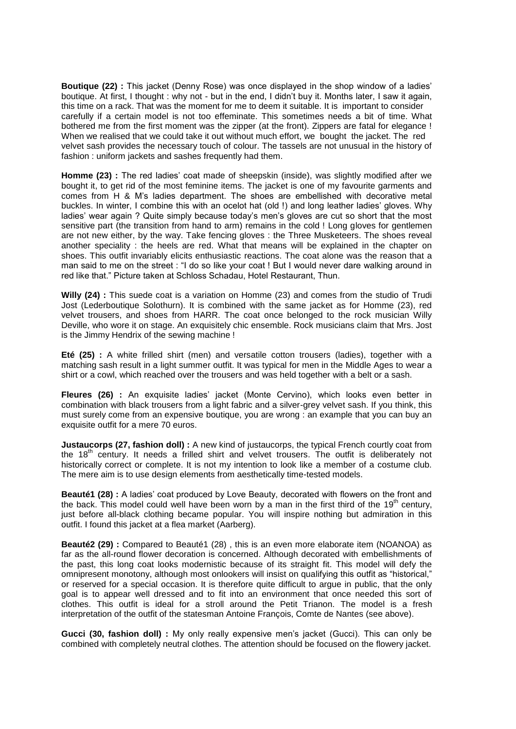**Boutique (22) :** This jacket (Denny Rose) was once displayed in the shop window of a ladies' boutique. At first, I thought : why not - but in the end, I didn't buy it. Months later, I saw it again, this time on a rack. That was the moment for me to deem it suitable. It is important to consider carefully if a certain model is not too effeminate. This sometimes needs a bit of time. What bothered me from the first moment was the zipper (at the front). Zippers are fatal for elegance ! When we realised that we could take it out without much effort, we bought the jacket. The red velvet sash provides the necessary touch of colour. The tassels are not unusual in the history of fashion : uniform jackets and sashes frequently had them.

**Homme (23) :** The red ladies' coat made of sheepskin (inside), was slightly modified after we bought it, to get rid of the most feminine items. The jacket is one of my favourite garments and comes from H & M's ladies department. The shoes are embellished with decorative metal buckles. In winter, I combine this with an ocelot hat (old !) and long leather ladies' gloves. Why ladies' wear again ? Quite simply because today's men's gloves are cut so short that the most sensitive part (the transition from hand to arm) remains in the cold ! Long gloves for gentlemen are not new either, by the way. Take fencing gloves : the Three Musketeers. The shoes reveal another speciality : the heels are red. What that means will be explained in the chapter on shoes. This outfit invariably elicits enthusiastic reactions. The coat alone was the reason that a man said to me on the street : "I do so like your coat ! But I would never dare walking around in red like that." Picture taken at Schloss Schadau, Hotel Restaurant, Thun.

**Willy (24) :** This suede coat is a variation on Homme (23) and comes from the studio of Trudi Jost (Lederboutique Solothurn). It is combined with the same jacket as for Homme (23), red velvet trousers, and shoes from HARR. The coat once belonged to the rock musician Willy Deville, who wore it on stage. An exquisitely chic ensemble. Rock musicians claim that Mrs. Jost is the Jimmy Hendrix of the sewing machine !

**Eté (25) :** A white frilled shirt (men) and versatile cotton trousers (ladies), together with a matching sash result in a light summer outfit. It was typical for men in the Middle Ages to wear a shirt or a cowl, which reached over the trousers and was held together with a belt or a sash.

**Fleures (26) :** An exquisite ladies' jacket (Monte Cervino), which looks even better in combination with black trousers from a light fabric and a silver-grey velvet sash. If you think, this must surely come from an expensive boutique, you are wrong : an example that you can buy an exquisite outfit for a mere 70 euros.

**Justaucorps (27, fashion doll)** : A new kind of justaucorps, the typical French courtly coat from the 18<sup>th</sup> century. It needs a frilled shirt and velvet trousers. The outfit is deliberately not historically correct or complete. It is not my intention to look like a member of a costume club. The mere aim is to use design elements from aesthetically time-tested models.

**Beauté1 (28) :** A ladies' coat produced by Love Beauty, decorated with flowers on the front and the back. This model could well have been worn by a man in the first third of the  $19<sup>th</sup>$  century, just before all-black clothing became popular. You will inspire nothing but admiration in this outfit. I found this jacket at a flea market (Aarberg).

**Beauté2 (29) :** Compared to Beauté1 (28) , this is an even more elaborate item (NOANOA) as far as the all-round flower decoration is concerned. Although decorated with embellishments of the past, this long coat looks modernistic because of its straight fit. This model will defy the omnipresent monotony, although most onlookers will insist on qualifying this outfit as "historical," or reserved for a special occasion. It is therefore quite difficult to argue in public, that the only goal is to appear well dressed and to fit into an environment that once needed this sort of clothes. This outfit is ideal for a stroll around the Petit Trianon. The model is a fresh interpretation of the outfit of the statesman Antoine François, Comte de Nantes (see above).

**Gucci (30, fashion doll) :** My only really expensive men's jacket (Gucci). This can only be combined with completely neutral clothes. The attention should be focused on the flowery jacket.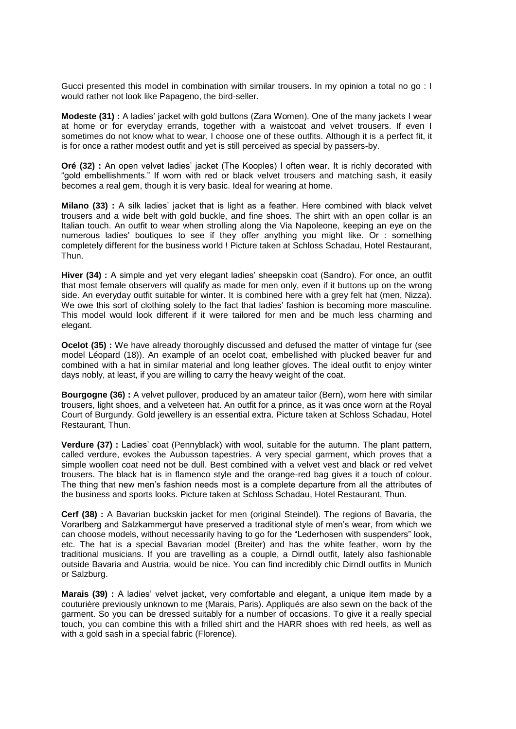Gucci presented this model in combination with similar trousers. In my opinion a total no go : I would rather not look like Papageno, the bird-seller.

**Modeste (31) :** A ladies' jacket with gold buttons (Zara Women). One of the many jackets I wear at home or for everyday errands, together with a waistcoat and velvet trousers. If even I sometimes do not know what to wear, I choose one of these outfits. Although it is a perfect fit, it is for once a rather modest outfit and yet is still perceived as special by passers-by.

**Oré (32) :** An open velvet ladies' jacket (The Kooples) I often wear. It is richly decorated with "gold embellishments." If worn with red or black velvet trousers and matching sash, it easily becomes a real gem, though it is very basic. Ideal for wearing at home.

**Milano (33) :** A silk ladies' jacket that is light as a feather. Here combined with black velvet trousers and a wide belt with gold buckle, and fine shoes. The shirt with an open collar is an Italian touch. An outfit to wear when strolling along the Via Napoleone, keeping an eye on the numerous ladies' boutiques to see if they offer anything you might like. Or : something completely different for the business world ! Picture taken at Schloss Schadau, Hotel Restaurant, Thun.

**Hiver (34) :** A simple and yet very elegant ladies' sheepskin coat (Sandro). For once, an outfit that most female observers will qualify as made for men only, even if it buttons up on the wrong side. An everyday outfit suitable for winter. It is combined here with a grey felt hat (men, Nizza). We owe this sort of clothing solely to the fact that ladies' fashion is becoming more masculine. This model would look different if it were tailored for men and be much less charming and elegant.

**Ocelot (35) :** We have already thoroughly discussed and defused the matter of vintage fur (see model Léopard (18)). An example of an ocelot coat, embellished with plucked beaver fur and combined with a hat in similar material and long leather gloves. The ideal outfit to enjoy winter days nobly, at least, if you are willing to carry the heavy weight of the coat.

**Bourgogne (36) :** A velvet pullover, produced by an amateur tailor (Bern), worn here with similar trousers, light shoes, and a velveteen hat. An outfit for a prince, as it was once worn at the Royal Court of Burgundy. Gold jewellery is an essential extra. Picture taken at Schloss Schadau, Hotel Restaurant, Thun.

**Verdure (37) :** Ladies' coat (Pennyblack) with wool, suitable for the autumn. The plant pattern, called verdure, evokes the Aubusson tapestries. A very special garment, which proves that a simple woollen coat need not be dull. Best combined with a velvet vest and black or red velvet trousers. The black hat is in flamenco style and the orange-red bag gives it a touch of colour. The thing that new men's fashion needs most is a complete departure from all the attributes of the business and sports looks. Picture taken at Schloss Schadau, Hotel Restaurant, Thun.

**Cerf (38) :** A Bavarian buckskin jacket for men (original Steindel). The regions of Bavaria, the Vorarlberg and Salzkammergut have preserved a traditional style of men's wear, from which we can choose models, without necessarily having to go for the "Lederhosen with suspenders" look, etc. The hat is a special Bavarian model (Breiter) and has the white feather, worn by the traditional musicians. If you are travelling as a couple, a Dirndl outfit, lately also fashionable outside Bavaria and Austria, would be nice. You can find incredibly chic Dirndl outfits in Munich or Salzburg.

**Marais (39) :** A ladies' velvet jacket, very comfortable and elegant, a unique item made by a couturière previously unknown to me (Marais, Paris). Appliqués are also sewn on the back of the garment. So you can be dressed suitably for a number of occasions. To give it a really special touch, you can combine this with a frilled shirt and the HARR shoes with red heels, as well as with a gold sash in a special fabric (Florence).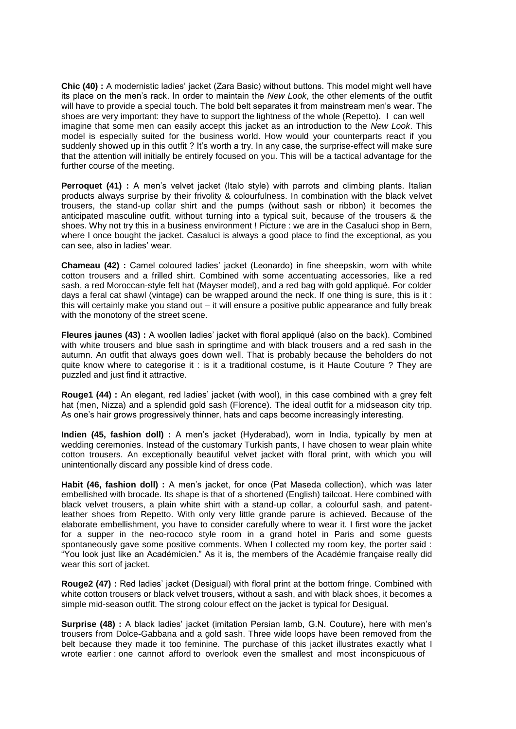**Chic (40) :** A modernistic ladies' jacket (Zara Basic) without buttons. This model might well have its place on the men's rack. In order to maintain the *New Look*, the other elements of the outfit will have to provide a special touch. The bold belt separates it from mainstream men's wear. The shoes are very important: they have to support the lightness of the whole (Repetto). I can well imagine that some men can easily accept this jacket as an introduction to the *New Look*. This model is especially suited for the business world. How would your counterparts react if you suddenly showed up in this outfit ? It's worth a try. In any case, the surprise-effect will make sure that the attention will initially be entirely focused on you. This will be a tactical advantage for the further course of the meeting.

**Perroquet (41)** : A men's velvet jacket (Italo style) with parrots and climbing plants. Italian products always surprise by their frivolity & colourfulness. In combination with the black velvet trousers, the stand-up collar shirt and the pumps (without sash or ribbon) it becomes the anticipated masculine outfit, without turning into a typical suit, because of the trousers & the shoes. Why not try this in a business environment ! Picture : we are in the Casaluci shop in Bern, where I once bought the jacket. Casaluci is always a good place to find the exceptional, as you can see, also in ladies' wear.

**Chameau (42) :** Camel coloured ladies' jacket (Leonardo) in fine sheepskin, worn with white cotton trousers and a frilled shirt. Combined with some accentuating accessories, like a red sash, a red Moroccan-style felt hat (Mayser model), and a red bag with gold appliqué. For colder days a feral cat shawl (vintage) can be wrapped around the neck. If one thing is sure, this is it : this will certainly make you stand out – it will ensure a positive public appearance and fully break with the monotony of the street scene.

**Fleures jaunes (43) :** A woollen ladies' jacket with floral appliqué (also on the back). Combined with white trousers and blue sash in springtime and with black trousers and a red sash in the autumn. An outfit that always goes down well. That is probably because the beholders do not quite know where to categorise it : is it a traditional costume, is it Haute Couture ? They are puzzled and just find it attractive.

**Rouge1 (44) :** An elegant, red ladies' jacket (with wool), in this case combined with a grey felt hat (men, Nizza) and a splendid gold sash (Florence). The ideal outfit for a midseason city trip. As one's hair grows progressively thinner, hats and caps become increasingly interesting.

**Indien (45, fashion doll) :** A men's jacket (Hyderabad), worn in India, typically by men at wedding ceremonies. Instead of the customary Turkish pants, I have chosen to wear plain white cotton trousers. An exceptionally beautiful velvet jacket with floral print, with which you will unintentionally discard any possible kind of dress code.

**Habit (46, fashion doll) :** A men's jacket, for once (Pat Maseda collection), which was later embellished with brocade. Its shape is that of a shortened (English) tailcoat. Here combined with black velvet trousers, a plain white shirt with a stand-up collar, a colourful sash, and patentleather shoes from Repetto. With only very little grande parure is achieved. Because of the elaborate embellishment, you have to consider carefully where to wear it. I first wore the jacket for a supper in the neo-rococo style room in a grand hotel in Paris and some guests spontaneously gave some positive comments. When I collected my room key, the porter said : "You look just like an Académicien." As it is, the members of the Académie française really did wear this sort of jacket.

**Rouge2 (47) :** Red ladies' jacket (Desigual) with floral print at the bottom fringe. Combined with white cotton trousers or black velvet trousers, without a sash, and with black shoes, it becomes a simple mid-season outfit. The strong colour effect on the jacket is typical for Desigual.

**Surprise (48) :** A black ladies' jacket (imitation Persian lamb, G.N. Couture), here with men's trousers from Dolce-Gabbana and a gold sash. Three wide loops have been removed from the belt because they made it too feminine. The purchase of this jacket illustrates exactly what I wrote earlier : one cannot afford to overlook even the smallest and most inconspicuous of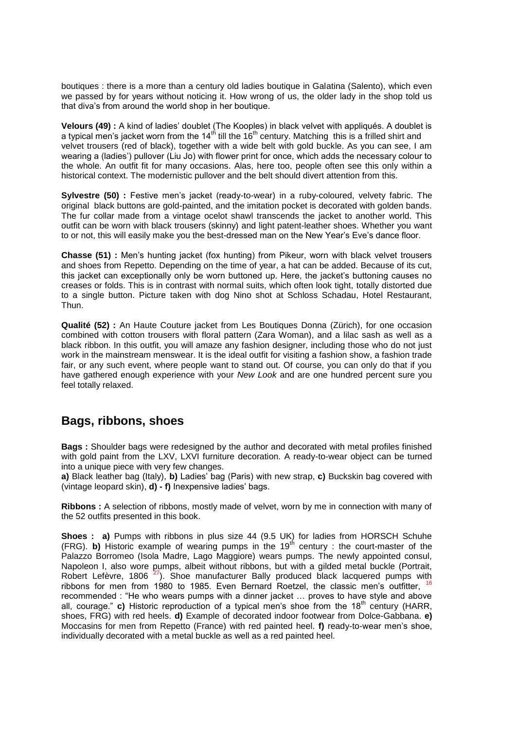boutiques : there is a more than a century old ladies boutique in Galatina (Salento), which even we passed by for years without noticing it. How wrong of us, the older lady in the shop told us that diva's from around the world shop in her boutique.

**Velours (49) :** A kind of ladies' doublet (The Kooples) in black velvet with appliqués. A doublet is a typical men's jacket worn from the 14<sup>th</sup> till the 16<sup>th</sup> century. Matching this is a frilled shirt and velvet trousers (red of black), together with a wide belt with gold buckle. As you can see, I am wearing a (ladies') pullover (Liu Jo) with flower print for once, which adds the necessary colour to the whole. An outfit fit for many occasions. Alas, here too, people often see this only within a historical context. The modernistic pullover and the belt should divert attention from this.

**Sylvestre (50) :** Festive men's jacket (ready-to-wear) in a ruby-coloured, velvety fabric. The original black buttons are gold-painted, and the imitation pocket is decorated with golden bands. The fur collar made from a vintage ocelot shawl transcends the jacket to another world. This outfit can be worn with black trousers (skinny) and light patent-leather shoes. Whether you want to or not, this will easily make you the best-dressed man on the New Year's Eve's dance floor.

**Chasse (51) :** Men's hunting jacket (fox hunting) from Pikeur, worn with black velvet trousers and shoes from Repetto. Depending on the time of year, a hat can be added. Because of its cut, this jacket can exceptionally only be worn buttoned up. Here, the jacket's buttoning causes no creases or folds. This is in contrast with normal suits, which often look tight, totally distorted due to a single button. Picture taken with dog Nino shot at Schloss Schadau, Hotel Restaurant, Thun.

**Qualité (52) :** An Haute Couture jacket from Les Boutiques Donna (Zürich), for one occasion combined with cotton trousers with floral pattern (Zara Woman), and a lilac sash as well as a black ribbon. In this outfit, you will amaze any fashion designer, including those who do not just work in the mainstream menswear. It is the ideal outfit for visiting a fashion show, a fashion trade fair, or any such event, where people want to stand out. Of course, you can only do that if you have gathered enough experience with your *New Look* and are one hundred percent sure you feel totally relaxed.

#### **Bags, ribbons, shoes**

**Bags :** Shoulder bags were redesigned by the author and decorated with metal profiles finished with gold paint from the LXV, LXVI furniture decoration. A ready-to-wear object can be turned into a unique piece with very few changes.

**a)** Black leather bag (Italy), **b)** Ladies' bag (Paris) with new strap, **c)** Buckskin bag covered with (vintage leopard skin), **d) - f)** Inexpensive ladies' bags.

**Ribbons :** A selection of ribbons, mostly made of velvet, worn by me in connection with many of the 52 outfits presented in this book.

**Shoes : a)** Pumps with ribbons in plus size 44 (9.5 UK) for ladies from HORSCH Schuhe (FRG). **b)** Historic example of wearing pumps in the 19<sup>th</sup> century : the court-master of the Palazzo Borromeo (Isola Madre, Lago Maggiore) wears pumps. The newly appointed consul, Napoleon I, also wore pumps, albeit without ribbons, but with a gilded metal buckle (Portrait, Robert Lefèvre, 1806  $27$ ). Shoe manufacturer Bally produced black lacquered pumps with ribbons for men from 1980 to 1985. Even Bernard Roetzel, the classic men's outfitter, <sup>16</sup> recommended : "He who wears pumps with a dinner jacket … proves to have style and above all, courage." **c)** Historic reproduction of a typical men's shoe from the 18<sup>th</sup> century (HARR, shoes, FRG) with red heels. **d)** Example of decorated indoor footwear from Dolce-Gabbana. **e)** Moccasins for men from Repetto (France) with red painted heel. **f)** ready-to-wear men's shoe, individually decorated with a metal buckle as well as a red painted heel.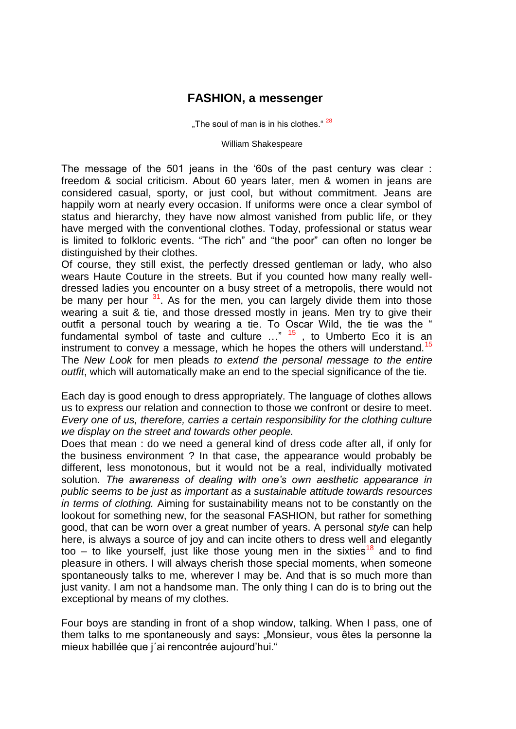### **FASHION, a messenger**

"The soul of man is in his clothes."  $28$ 

William Shakespeare

The message of the 501 jeans in the '60s of the past century was clear : freedom & social criticism. About 60 years later, men & women in jeans are considered casual, sporty, or just cool, but without commitment. Jeans are happily worn at nearly every occasion. If uniforms were once a clear symbol of status and hierarchy, they have now almost vanished from public life, or they have merged with the conventional clothes. Today, professional or status wear is limited to folkloric events. "The rich" and "the poor" can often no longer be distinguished by their clothes.

Of course, they still exist, the perfectly dressed gentleman or lady, who also wears Haute Couture in the streets. But if you counted how many really welldressed ladies you encounter on a busy street of a metropolis, there would not be many per hour  $31$ . As for the men, you can largely divide them into those wearing a suit & tie, and those dressed mostly in jeans. Men try to give their outfit a personal touch by wearing a tie. To Oscar Wild, the tie was the " fundamental symbol of taste and culture …" <sup>15</sup> , to Umberto Eco it is an instrument to convey a message, which he hopes the others will understand.<sup>15</sup> The *New Look* for men pleads *to extend the personal message to the entire outfit*, which will automatically make an end to the special significance of the tie.

Each day is good enough to dress appropriately. The language of clothes allows us to express our relation and connection to those we confront or desire to meet. *Every one of us, therefore, carries a certain responsibility for the clothing culture we display on the street and towards other people.*

Does that mean : do we need a general kind of dress code after all, if only for the business environment ? In that case, the appearance would probably be different, less monotonous, but it would not be a real, individually motivated solution. *The awareness of dealing with one's own aesthetic appearance in public seems to be just as important as a sustainable attitude towards resources in terms of clothing.* Aiming for sustainability means not to be constantly on the lookout for something new, for the seasonal FASHION, but rather for something good, that can be worn over a great number of years. A personal *style* can help here, is always a source of joy and can incite others to dress well and elegantly too – to like yourself, just like those young men in the sixties<sup>18</sup> and to find pleasure in others. I will always cherish those special moments, when someone spontaneously talks to me, wherever I may be. And that is so much more than just vanity. I am not a handsome man. The only thing I can do is to bring out the exceptional by means of my clothes.

Four boys are standing in front of a shop window, talking. When I pass, one of them talks to me spontaneously and says: "Monsieur, vous êtes la personne la mieux habillée que j´ai rencontrée aujourd'hui."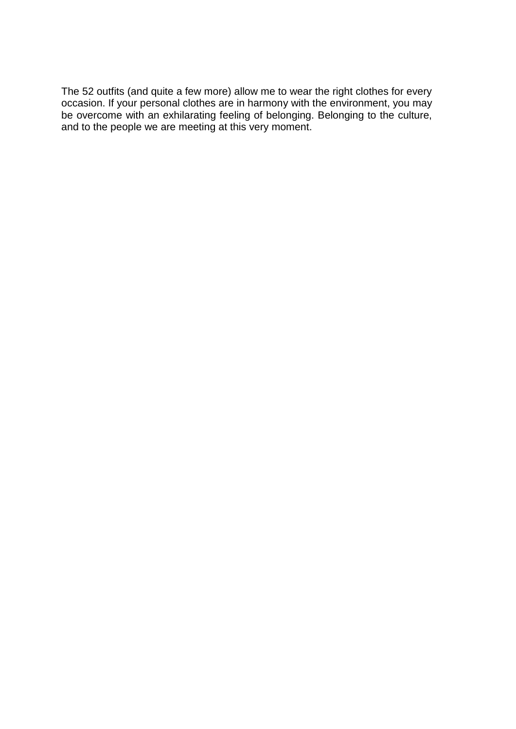The 52 outfits (and quite a few more) allow me to wear the right clothes for every occasion. If your personal clothes are in harmony with the environment, you may be overcome with an exhilarating feeling of belonging. Belonging to the culture, and to the people we are meeting at this very moment.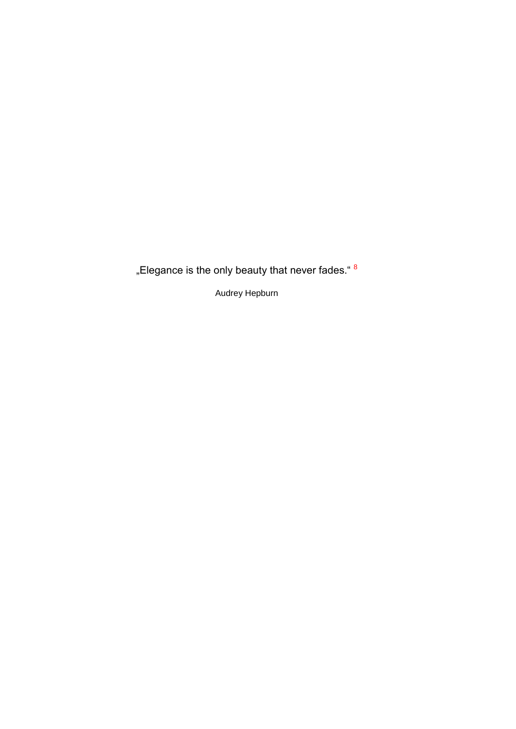"Elegance is the only beauty that never fades."  $8$ 

Audrey Hepburn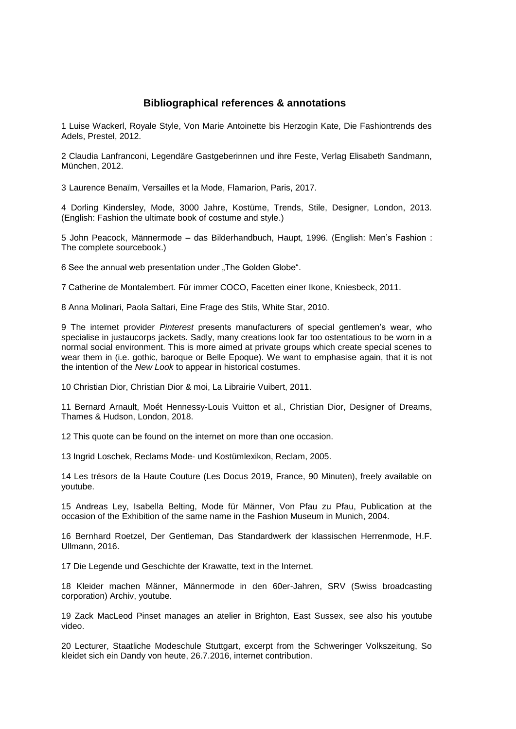#### **Bibliographical references & annotations**

1 Luise Wackerl, Royale Style, Von Marie Antoinette bis Herzogin Kate, Die Fashiontrends des Adels, Prestel, 2012.

2 Claudia Lanfranconi, Legendäre Gastgeberinnen und ihre Feste, Verlag Elisabeth Sandmann, München, 2012.

3 Laurence Benaïm, Versailles et la Mode, Flamarion, Paris, 2017.

4 Dorling Kindersley, Mode, 3000 Jahre, Kostüme, Trends, Stile, Designer, London, 2013. (English: Fashion the ultimate book of costume and style.)

5 John Peacock, Männermode – das Bilderhandbuch, Haupt, 1996. (English: Men's Fashion : The complete sourcebook.)

6 See the annual web presentation under "The Golden Globe".

7 Catherine de Montalembert. Für immer COCO, Facetten einer Ikone, Kniesbeck, 2011.

8 Anna Molinari, Paola Saltari, Eine Frage des Stils, White Star, 2010.

9 The internet provider *Pinterest* presents manufacturers of special gentlemen's wear, who specialise in justaucorps jackets. Sadly, many creations look far too ostentatious to be worn in a normal social environment. This is more aimed at private groups which create special scenes to wear them in (i.e. gothic, baroque or Belle Epoque). We want to emphasise again, that it is not the intention of the *New Look* to appear in historical costumes.

10 Christian Dior, Christian Dior & moi, La Librairie Vuibert, 2011.

11 Bernard Arnault, Moét Hennessy-Louis Vuitton et al., Christian Dior, Designer of Dreams, Thames & Hudson, London, 2018.

12 This quote can be found on the internet on more than one occasion.

13 Ingrid Loschek, Reclams Mode- und Kostümlexikon, Reclam, 2005.

14 Les trésors de la Haute Couture (Les Docus 2019, France, 90 Minuten), freely available on youtube.

15 Andreas Ley, Isabella Belting, Mode für Männer, Von Pfau zu Pfau, Publication at the occasion of the Exhibition of the same name in the Fashion Museum in Munich, 2004.

16 Bernhard Roetzel, Der Gentleman, Das Standardwerk der klassischen Herrenmode, H.F. Ullmann, 2016.

17 Die Legende und Geschichte der Krawatte, text in the Internet.

18 Kleider machen Männer, Männermode in den 60er-Jahren, SRV (Swiss broadcasting corporation) Archiv, youtube.

19 Zack MacLeod Pinset manages an atelier in Brighton, East Sussex, see also his youtube video.

20 Lecturer, Staatliche Modeschule Stuttgart, excerpt from the Schweringer Volkszeitung, So kleidet sich ein Dandy von heute, 26.7.2016, internet contribution.